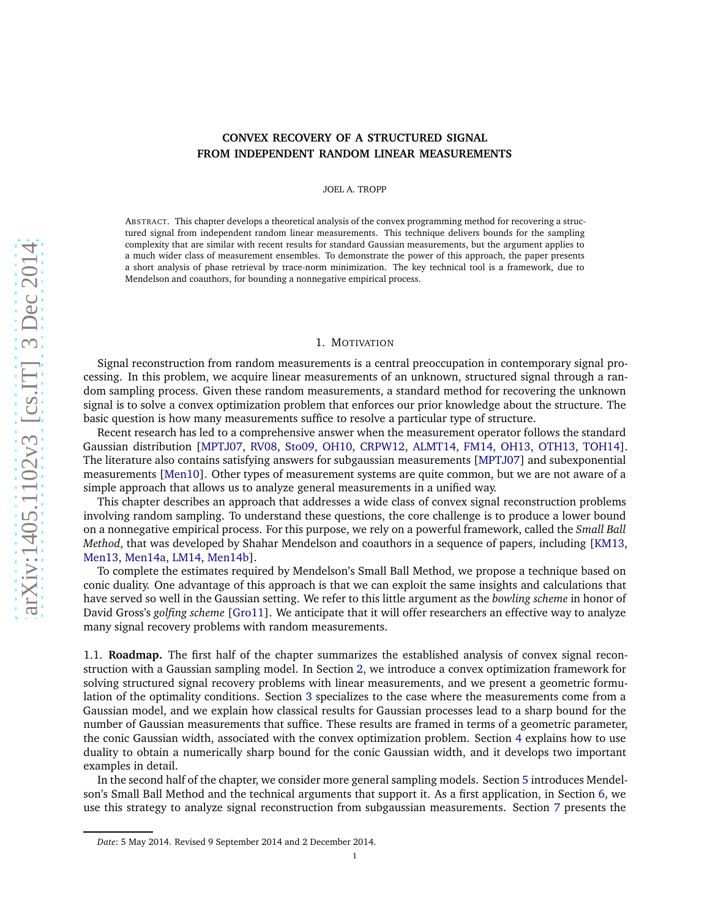# **CONVEX RECOVERY OF A STRUCTURED SIGNAL FROM INDEPENDENT RANDOM LINEAR MEASUREMENTS**

JOEL A. TROPP

ABSTRACT. This chapter develops a theoretical analysis of the convex programming method for recovering a structured signal from independent random linear measurements. This technique delivers bounds for the sampling complexity that are similar with recent results for standard Gaussian measurements, but the argument applies to a much wider class of measurement ensembles. To demonstrate the power of this approach, the paper presents a short analysis of phase retrieval by trace-norm minimization. The key technical tool is a framework, due to Mendelson and coauthors, for bounding a nonnegative empirical process.

## 1. MOTIVATION

Signal reconstruction from random measurements is a central preoccupation in contemporary signal processing. In this problem, we acquire linear measurements of an unknown, structured signal through a random sampling process. Given these random measurements, a standard method for recovering the unknown signal is to solve a convex optimization problem that enforces our prior knowledge about the structure. The basic question is how many measurements suffice to resolve a particular type of structure.

Recent research has led to a comprehensive answer when the measurement operator follows the standard Gaussian distribution [\[MPTJ07,](#page-19-0) [RV08,](#page-19-1) [Sto09,](#page-19-2) [OH10,](#page-19-3) [CRPW12,](#page-18-0) [ALMT14,](#page-18-1) [FM14,](#page-18-2) [OH13,](#page-19-4) [OTH13,](#page-19-5) [TOH14\]](#page-19-6). The literature also contains satisfying answers for subgaussian measurements [\[MPTJ07\]](#page-19-0) and subexponential measurements [\[Men10\]](#page-18-3). Other types of measurement systems are quite common, but we are not aware of a simple approach that allows us to analyze general measurements in a unified way.

This chapter describes an approach that addresses a wide class of convex signal reconstruction problems involving random sampling. To understand these questions, the core challenge is to produce a lower bound on a nonnegative empirical process. For this purpose, we rely on a powerful framework, called the *Small Ball Method*, that was developed by Shahar Mendelson and coauthors in a sequence of papers, including [\[KM13,](#page-18-4) [Men13,](#page-18-5) [Men14a,](#page-18-6) [LM14,](#page-18-7) [Men14b\]](#page-19-7).

To complete the estimates required by Mendelson's Small Ball Method, we propose a technique based on conic duality. One advantage of this approach is that we can exploit the same insights and calculations that have served so well in the Gaussian setting. We refer to this little argument as the *bowling scheme* in honor of David Gross's *golfing scheme* [\[Gro11\]](#page-18-8). We anticipate that it will offer researchers an effective way to analyze many signal recovery problems with random measurements.

1.1. **Roadmap.** The first half of the chapter summarizes the established analysis of convex signal reconstruction with a Gaussian sampling model. In Section [2,](#page-1-0) we introduce a convex optimization framework for solving structured signal recovery problems with linear measurements, and we present a geometric formulation of the optimality conditions. Section [3](#page-3-0) specializes to the case where the measurements come from a Gaussian model, and we explain how classical results for Gaussian processes lead to a sharp bound for the number of Gaussian measurements that suffice. These results are framed in terms of a geometric parameter, the conic Gaussian width, associated with the convex optimization problem. Section [4](#page-5-0) explains how to use duality to obtain a numerically sharp bound for the conic Gaussian width, and it develops two important examples in detail.

In the second half of the chapter, we consider more general sampling models. Section [5](#page-8-0) introduces Mendelson's Small Ball Method and the technical arguments that support it. As a first application, in Section [6,](#page-11-0) we use this strategy to analyze signal reconstruction from subgaussian measurements. Section [7](#page-13-0) presents the

*Date*: 5 May 2014. Revised 9 September 2014 and 2 December 2014.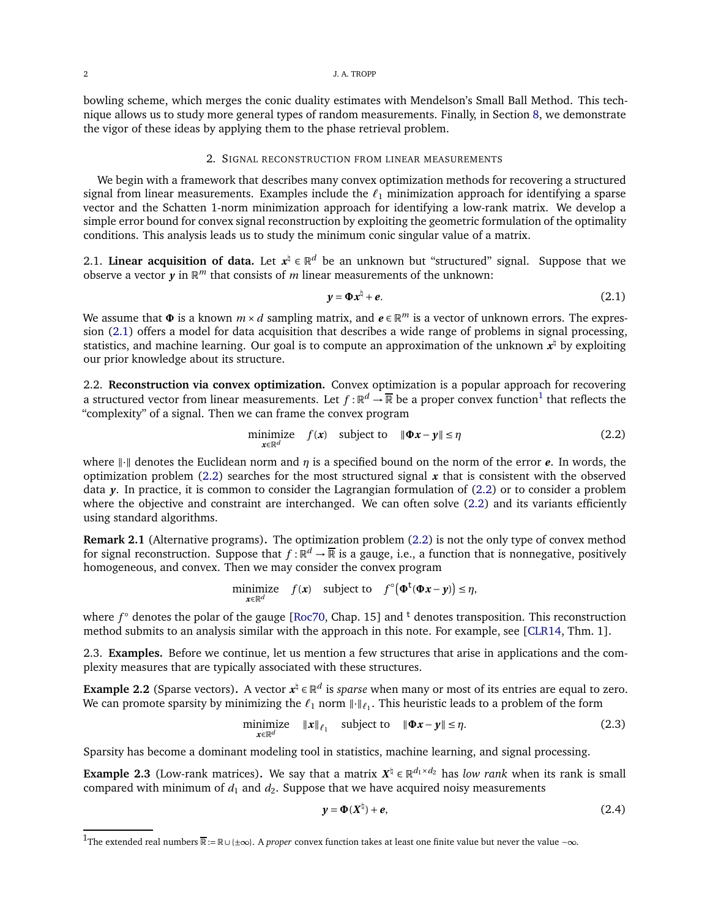bowling scheme, which merges the conic duality estimates with Mendelson's Small Ball Method. This technique allows us to study more general types of random measurements. Finally, in Section [8,](#page-15-0) we demonstrate the vigor of these ideas by applying them to the phase retrieval problem.

# 2. SIGNAL RECONSTRUCTION FROM LINEAR MEASUREMENTS

<span id="page-1-0"></span>We begin with a framework that describes many convex optimization methods for recovering a structured signal from linear measurements. Examples include the *ℓ*<sup>1</sup> minimization approach for identifying a sparse vector and the Schatten 1-norm minimization approach for identifying a low-rank matrix. We develop a simple error bound for convex signal reconstruction by exploiting the geometric formulation of the optimality conditions. This analysis leads us to study the minimum conic singular value of a matrix.

2.1. **Linear acquisition of data.** Let  $x^{\nexists} \in \mathbb{R}^d$  be an unknown but "structured" signal. Suppose that we observe a vector  $y$  in  $\mathbb{R}^m$  that consists of  $m$  linear measurements of the unknown:

<span id="page-1-1"></span>
$$
y = \Phi x^{\natural} + e. \tag{2.1}
$$

We assume that  $\Phi$  is a known  $m \times d$  sampling matrix, and  $e \in \mathbb{R}^m$  is a vector of unknown errors. The expression [\(2.1\)](#page-1-1) offers a model for data acquisition that describes a wide range of problems in signal processing, statistics, and machine learning. Our goal is to compute an approximation of the unknown  $x^\natural$  by exploiting our prior knowledge about its structure.

2.2. **Reconstruction via convex optimization.** Convex optimization is a popular approach for recovering a structured vector from linear measurements. Let  $f : \mathbb{R}^d \to \overline{\mathbb{R}}$  be a proper convex function<sup>1</sup> that reflects the "complexity" of a signal. Then we can frame the convex program

<span id="page-1-2"></span>
$$
\underset{x \in \mathbb{R}^d}{\text{minimize}} \quad f(x) \quad \text{subject to} \quad \|\Phi x - y\| \le \eta \tag{2.2}
$$

where  $\|\cdot\|$  denotes the Euclidean norm and *η* is a specified bound on the norm of the error *e*. In words, the optimization problem  $(2.2)$  searches for the most structured signal  $x$  that is consistent with the observed data *y*. In practice, it is common to consider the Lagrangian formulation of [\(2.2\)](#page-1-2) or to consider a problem where the objective and constraint are interchanged. We can often solve  $(2.2)$  and its variants efficiently using standard algorithms.

**Remark 2.1** (Alternative programs)**.** The optimization problem [\(2.2\)](#page-1-2) is not the only type of convex method for signal reconstruction. Suppose that  $f : \mathbb{R}^d \to \overline{\mathbb{R}}$  is a gauge, i.e., a function that is nonnegative, positively homogeneous, and convex. Then we may consider the convex program

minimize 
$$
f(x)
$$
 subject to  $f^{\circ}(\Phi^t(\Phi x - y)) \le \eta$ ,

where *f*  $\circ$  denotes the polar of the gauge [\[Roc70,](#page-19-8) Chap. 15] and <sup>t</sup> denotes transposition. This reconstruction method submits to an analysis similar with the approach in this note. For example, see [\[CLR14,](#page-18-9) Thm. 1].

2.3. **Examples.** Before we continue, let us mention a few structures that arise in applications and the complexity measures that are typically associated with these structures.

**Example 2.2** (Sparse vectors). A vector  $x^{\natural} \in \mathbb{R}^d$  is *sparse* when many or most of its entries are equal to zero. We can promote sparsity by minimizing the  $\ell_1$  norm  $\| \cdot \|_{\ell_1}$ . This heuristic leads to a problem of the form

<span id="page-1-3"></span>
$$
\underset{\mathbf{x}\in\mathbb{R}^d}{\text{minimize}} \quad \|\mathbf{x}\|_{\ell_1} \quad \text{subject to} \quad \|\mathbf{0}\mathbf{x} - \mathbf{y}\| \le \eta. \tag{2.3}
$$

Sparsity has become a dominant modeling tool in statistics, machine learning, and signal processing.

**Example 2.3** (Low-rank matrices). We say that a matrix  $X^{\dagger} \in \mathbb{R}^{d_1 \times d_2}$  has *low rank* when its rank is small compared with minimum of  $d_1$  and  $d_2$ . Suppose that we have acquired noisy measurements

$$
y = \Phi(X^{\dagger}) + e, \tag{2.4}
$$

<sup>1</sup>The extended real numbers <sup>R</sup> :<sup>=</sup> <sup>R</sup>∪{±∞}. A *proper* convex function takes at least one finite value but never the value −∞.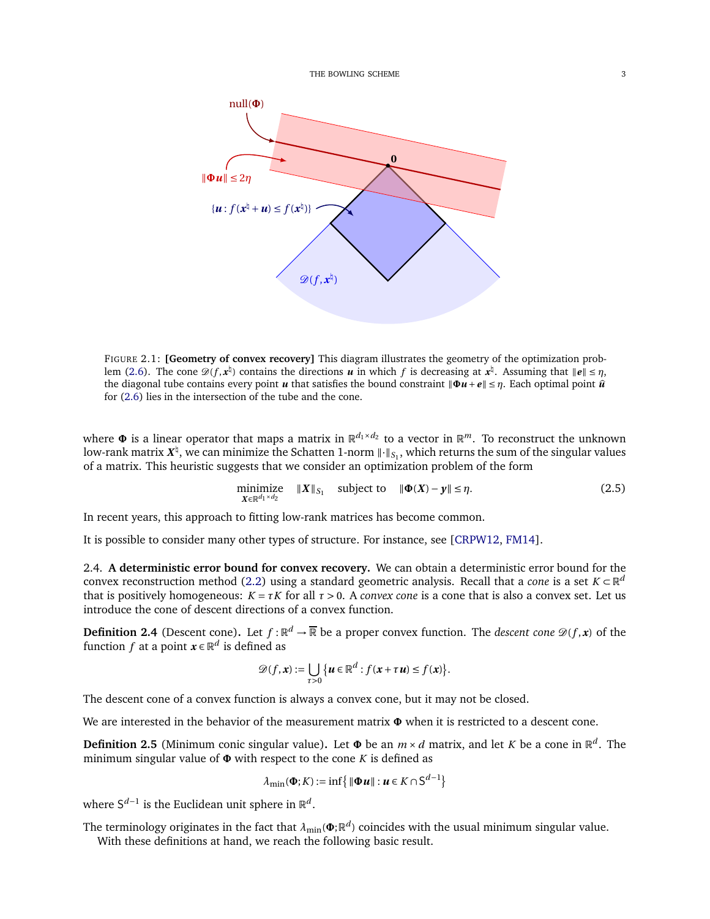<span id="page-2-0"></span>

FIGURE 2.1: **[Geometry of convex recovery]** This diagram illustrates the geometry of the optimization prob-lem [\(2.6\)](#page-3-1). The cone  $\mathcal{D}(f, x^{\sharp})$  contains the directions *u* in which *f* is decreasing at  $x^{\sharp}$ . Assuming that  $||e|| \leq \eta$ , the diagonal tube contains every point *u* that satisfies the bound constraint  $\|\Phi u + e\| \leq \eta$ . Each optimal point  $\hat{u}$ for [\(2.6\)](#page-3-1) lies in the intersection of the tube and the cone.

where  $\Phi$  is a linear operator that maps a matrix in  $\mathbb{R}^{d_1\times d_2}$  to a vector in  $\mathbb{R}^m$ . To reconstruct the unknown low-rank matrix  $X^{\natural}$ , we can minimize the Schatten 1-norm  $\|\cdot\|_{S_1}$ , which returns the sum of the singular values of a matrix. This heuristic suggests that we consider an optimization problem of the form

<span id="page-2-2"></span>
$$
\underset{\mathbf{X} \in \mathbb{R}^{d_1 \times d_2}}{\text{minimize}} \quad \|\mathbf{X}\|_{S_1} \quad \text{subject to} \quad \|\mathbf{\Phi}(\mathbf{X}) - \mathbf{y}\| \le \eta. \tag{2.5}
$$

In recent years, this approach to fitting low-rank matrices has become common.

It is possible to consider many other types of structure. For instance, see [\[CRPW12,](#page-18-0) [FM14\]](#page-18-2).

2.4. **A deterministic error bound for convex recovery.** We can obtain a deterministic error bound for the convex reconstruction method [\(2.2\)](#page-1-2) using a standard geometric analysis. Recall that a *cone* is a set  $K \subset \mathbb{R}^d$ that is positively homogeneous:  $K = \tau K$  for all  $\tau > 0$ . A *convex cone* is a cone that is also a convex set. Let us introduce the cone of descent directions of a convex function.

**Definition 2.4** (Descent cone). Let  $f : \mathbb{R}^d \to \overline{\mathbb{R}}$  be a proper convex function. The *descent cone*  $\mathcal{D}(f, x)$  of the function *f* at a point  $\boldsymbol{x} \in \mathbb{R}^d$  is defined as

$$
\mathscr{D}(f,\mathbf{x}) := \bigcup_{\tau>0} \left\{ \mathbf{u} \in \mathbb{R}^d : f(\mathbf{x} + \tau \mathbf{u}) \leq f(\mathbf{x}) \right\}.
$$

The descent cone of a convex function is always a convex cone, but it may not be closed.

We are interested in the behavior of the measurement matrix **Φ** when it is restricted to a descent cone.

<span id="page-2-1"></span>**Definition 2.5** (Minimum conic singular value). Let  $\Phi$  be an  $m \times d$  matrix, and let *K* be a cone in  $\mathbb{R}^d$ . The minimum singular value of **Φ** with respect to the cone *K* is defined as

$$
\lambda_{\min}(\mathbf{\Phi}; K) := \inf \{ \|\mathbf{\Phi} \mathbf{u}\| : \mathbf{u} \in K \cap S^{d-1} \}
$$

where S<sup>d−1</sup> is the Euclidean unit sphere in ℝ<sup>d</sup>.

The terminology originates in the fact that  $\lambda_{\min}(\pmb\Phi;\mathbb R^d)$  coincides with the usual minimum singular value. With these definitions at hand, we reach the following basic result.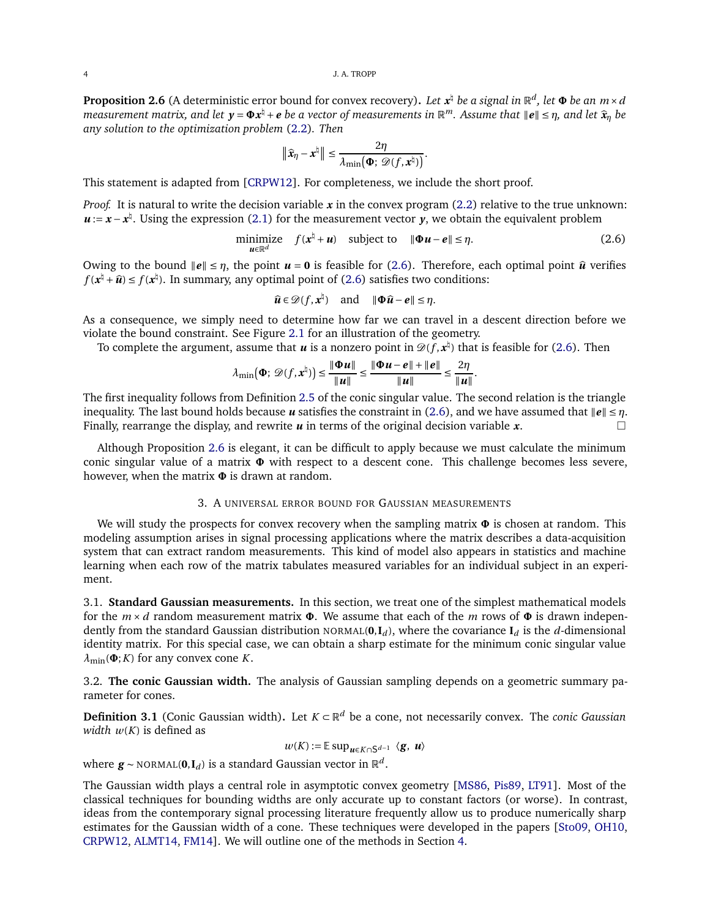<span id="page-3-2"></span>**Proposition 2.6** (A deterministic error bound for convex recovery). *Let*  $x^{\natural}$  *be a signal in*  $\mathbb{R}^d$ *, let*  $\Phi$  *be an*  $m \times d$ *measurement matrix, and let*  $y = \Phi x^{\frac{h}{2}} + e$  *be a vector of measurements in*  $\mathbb{R}^m$ . Assume that  $\|\mathbf{e}\| \leq \eta$ , and let  $\hat{\mathbf{x}}_{\eta}$  *be*  $\mathbf{e}_{\eta}$  *sure obtaining the systemation method* (3.3)  $\mathbb{R}^m$ . *any solution to the optimization problem* [\(2.2\)](#page-1-2)*. Then*

$$
\|\widehat{\mathbf{x}}_{\eta}-\mathbf{x}^{\natural}\|\leq \frac{2\eta}{\lambda_{\min}(\boldsymbol{\Phi};\,\mathscr{D}(f,\mathbf{x}^{\natural}))}.
$$

This statement is adapted from [\[CRPW12\]](#page-18-0). For completeness, we include the short proof.

*Proof.* It is natural to write the decision variable *x* in the convex program [\(2.2\)](#page-1-2) relative to the true unknown: *u* := *x* − *x*<sup> $‡$ </sup>. Using the expression [\(2.1\)](#page-1-1) for the measurement vector *y*, we obtain the equivalent problem

<span id="page-3-1"></span>
$$
\underset{\boldsymbol{u}\in\mathbb{R}^d}{\text{minimize}} \quad f(\boldsymbol{x}^\natural + \boldsymbol{u}) \quad \text{subject to} \quad \|\boldsymbol{\Phi}\boldsymbol{u} - \boldsymbol{e}\| \leq \eta. \tag{2.6}
$$

Owing to the bound  $\|\mathbf{e}\| \leq \eta$ , the point  $\mathbf{u} = \mathbf{0}$  is feasible for [\(2.6\)](#page-3-1). Therefore, each optimal point  $\hat{\mathbf{u}}$  verifies  $f(x^{\natural} + \widehat{u}) \le f(x^{\natural})$ . In summary, any optimal point of [\(2.6\)](#page-3-1) satisfies two conditions:

$$
\widehat{u} \in \mathscr{D}(f, x^{\natural})
$$
 and  $\|\Phi\widehat{u} - e\| \le \eta$ .

As a consequence, we simply need to determine how far we can travel in a descent direction before we violate the bound constraint. See Figure [2.1](#page-2-0) for an illustration of the geometry.

To complete the argument, assume that  $u$  is a nonzero point in  $\mathscr{D}(f, x^\natural)$  that is feasible for [\(2.6\)](#page-3-1). Then

$$
\lambda_{\min}(\Phi; \mathscr{D}(f, \mathbf{x}^{\natural})) \leq \frac{\|\Phi \mathbf{u}\|}{\|\mathbf{u}\|} \leq \frac{\|\Phi \mathbf{u} - \mathbf{e}\| + \|\mathbf{e}\|}{\|\mathbf{u}\|} \leq \frac{2\eta}{\|\mathbf{u}\|}.
$$

The first inequality follows from Definition [2.5](#page-2-1) of the conic singular value. The second relation is the triangle inequality. The last bound holds because *u* satisfies the constraint in [\(2.6\)](#page-3-1), and we have assumed that  $||e|| \le \eta$ .<br>Finally rearrange the display and rewrite *u* in terms of the original decision variable **x** Finally, rearrange the display, and rewrite *u* in terms of the original decision variable *x*.

Although Proposition [2.6](#page-3-2) is elegant, it can be difficult to apply because we must calculate the minimum conic singular value of a matrix **Φ** with respect to a descent cone. This challenge becomes less severe, however, when the matrix **Φ** is drawn at random.

### 3. A UNIVERSAL ERROR BOUND FOR GAUSSIAN MEASUREMENTS

<span id="page-3-0"></span>We will study the prospects for convex recovery when the sampling matrix **Φ** is chosen at random. This modeling assumption arises in signal processing applications where the matrix describes a data-acquisition system that can extract random measurements. This kind of model also appears in statistics and machine learning when each row of the matrix tabulates measured variables for an individual subject in an experiment.

3.1. **Standard Gaussian measurements.** In this section, we treat one of the simplest mathematical models for the *<sup>m</sup>* <sup>×</sup> *<sup>d</sup>* random measurement matrix **<sup>Φ</sup>**. We assume that each of the *<sup>m</sup>* rows of **<sup>Φ</sup>** is drawn independently from the standard Gaussian distribution NORMAL( $\mathbf{0}, \mathbf{I}_d$ ), where the covariance  $\mathbf{I}_d$  is the *d*-dimensional identity matrix. For this special case, we can obtain a sharp estimate for the minimum conic singular value  $\lambda_{\min}(\Phi; K)$  for any convex cone *K*.

3.2. **The conic Gaussian width.** The analysis of Gaussian sampling depends on a geometric summary parameter for cones.

**Definition 3.1** (Conic Gaussian width)**.** Let *<sup>K</sup>* <sup>⊂</sup> <sup>R</sup> *<sup>d</sup>* be a cone, not necessarily convex. The *conic Gaussian width*  $w(K)$  is defined as

$$
w(K) := \mathbb{E} \sup_{\mathbf{u} \in K \cap S^{d-1}} \langle \mathbf{g}, \mathbf{u} \rangle
$$

where  $\boldsymbol{g} \sim \text{NORMAL}(\boldsymbol{0}, \mathbf{I}_d)$  is a standard Gaussian vector in  $\mathbb{R}^d$ .

The Gaussian width plays a central role in asymptotic convex geometry [\[MS86,](#page-19-9) [Pis89,](#page-19-10) [LT91\]](#page-18-10). Most of the classical techniques for bounding widths are only accurate up to constant factors (or worse). In contrast, ideas from the contemporary signal processing literature frequently allow us to produce numerically sharp estimates for the Gaussian width of a cone. These techniques were developed in the papers [\[Sto09,](#page-19-2) [OH10,](#page-19-3) [CRPW12,](#page-18-0) [ALMT14,](#page-18-1) [FM14\]](#page-18-2). We will outline one of the methods in Section [4.](#page-5-0)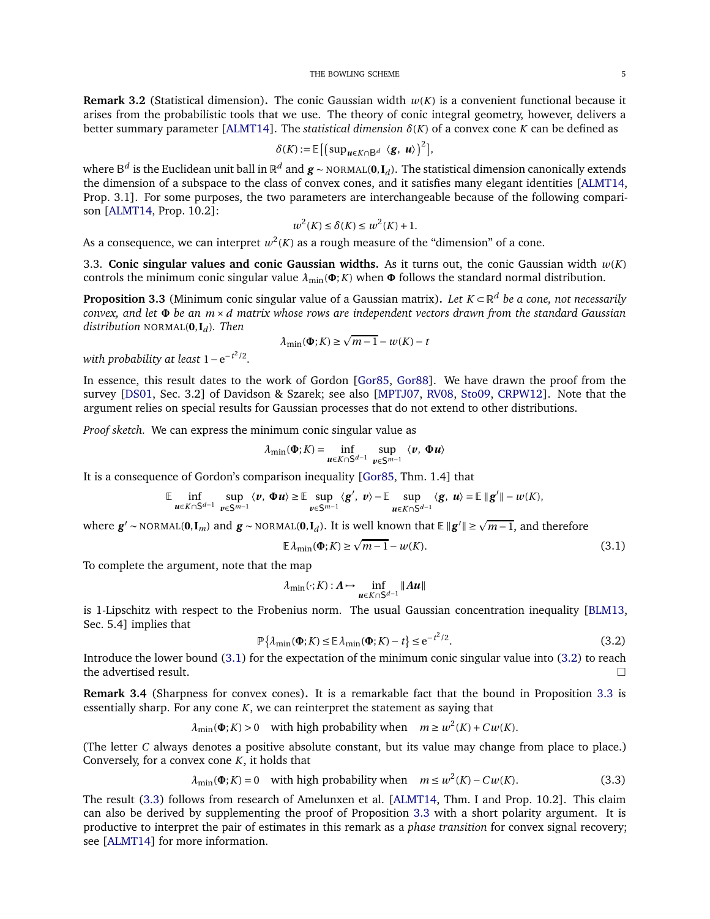**Remark 3.2** (Statistical dimension). The conic Gaussian width  $w(K)$  is a convenient functional because it arises from the probabilistic tools that we use. The theory of conic integral geometry, however, delivers a better summary parameter [\[ALMT14\]](#page-18-1). The *statistical dimension δ*(*K*) of a convex cone *K* can be defined as

$$
\delta(K) := \mathbb{E}\left[\left(\sup_{\boldsymbol{u}\in K\cap B^d} \langle \boldsymbol{g}, \boldsymbol{u}\rangle\right)^2\right],
$$

 $a^d$  is the Euclidean unit ball in  $\mathbb{R}^d$  and  $g$  ∼ <code>NORMAL(0,I</code><sub>*d*</sub>). The statistical dimension canonically extends the dimension of a subspace to the class of convex cones, and it satisfies many elegant identities [\[ALMT14,](#page-18-1) Prop. 3.1]. For some purposes, the two parameters are interchangeable because of the following comparison [\[ALMT14,](#page-18-1) Prop. 10.2]:

$$
w^2(K) \le \delta(K) \le w^2(K) + 1.
$$

As a consequence, we can interpret  $w^2(K)$  as a rough measure of the "dimension" of a cone.

3.3. **Conic singular values and conic Gaussian widths.** As it turns out, the conic Gaussian width  $w(K)$ controls the minimum conic singular value  $\lambda_{\min}(\Phi; K)$  when  $\Phi$  follows the standard normal distribution.

<span id="page-4-2"></span>**Proposition 3.3** (Minimum conic singular value of a Gaussian matrix)**.** *Let <sup>K</sup>* <sup>⊂</sup> <sup>R</sup> *<sup>d</sup> be a cone, not necessarily convex, and let* **<sup>Φ</sup>** *be an <sup>m</sup>* <sup>×</sup> *<sup>d</sup> matrix whose rows are independent vectors drawn from the standard Gaussian distribution* NORMAL(**0**,**I***<sup>d</sup>* )*. Then*

$$
\lambda_{\min}(\mathbf{\Phi}; K) \ge \sqrt{m-1} - w(K) - t
$$

*with probability at least* 1−e<sup>−*t*<sup>2</sup>/2</sup>.

In essence, this result dates to the work of Gordon [\[Gor85,](#page-18-11) [Gor88\]](#page-18-12). We have drawn the proof from the survey [\[DS01,](#page-18-13) Sec. 3.2] of Davidson & Szarek; see also [\[MPTJ07,](#page-19-0) [RV08,](#page-19-1) [Sto09,](#page-19-2) [CRPW12\]](#page-18-0). Note that the argument relies on special results for Gaussian processes that do not extend to other distributions.

*Proof sketch.* We can express the minimum conic singular value as

$$
\lambda_{\min}(\mathbf{\Phi}; K) = \inf_{\mathbf{u} \in K \cap \mathsf{S}^{d-1}} \sup_{\mathbf{v} \in \mathsf{S}^{m-1}} \langle \mathbf{v}, \mathbf{\Phi} \mathbf{u} \rangle
$$

It is a consequence of Gordon's comparison inequality [\[Gor85,](#page-18-11) Thm. 1.4] that

$$
\mathbb{E}\inf_{u\in K\cap S^{d-1}}\;\sup_{v\in S^{m-1}}\langle v,\,\Phi u\rangle\geq \mathbb{E}\sup_{v\in S^{m-1}}\langle g',\;v\rangle-\mathbb{E}\sup_{u\in K\cap S^{d-1}}\langle g,\;u\rangle=\mathbb{E}\,\|g'\|-\omega(K),
$$

where  $g' \sim \text{NORMAL}(0, I_m)$  and  $g \sim \text{NORMAL}(0, I_d)$ . It is well known that E∥ $g'∥ ≥ \sqrt{m-1}$ , and therefore

<span id="page-4-0"></span>
$$
\mathbb{E}\lambda_{\min}(\mathbf{\Phi}; K) \ge \sqrt{m-1} - w(K). \tag{3.1}
$$

To complete the argument, note that the map

$$
\lambda_{\min}(\cdot;K): A \mapsto \inf_{\boldsymbol{\mathcal{u}} \in K \cap S^{d-1}} \|\boldsymbol{A}\boldsymbol{u}\|
$$

is 1-Lipschitz with respect to the Frobenius norm. The usual Gaussian concentration inequality [\[BLM13,](#page-18-14) Sec. 5.4] implies that

<span id="page-4-1"></span>
$$
\mathbb{P}\left\{\lambda_{\min}(\mathbf{\Phi}; K) \le \mathbb{E}\lambda_{\min}(\mathbf{\Phi}; K) - t\right\} \le e^{-t^2/2}.\tag{3.2}
$$

Introduce the lower bound [\(3.1\)](#page-4-0) for the expectation of the minimum conic singular value into [\(3.2\)](#page-4-1) to reach the advertised result.

<span id="page-4-4"></span>**Remark 3.4** (Sharpness for convex cones)**.** It is a remarkable fact that the bound in Proposition [3.3](#page-4-2) is essentially sharp. For any cone *K*, we can reinterpret the statement as saying that

 $\lambda_{\min}(\Phi; K) > 0$  with high probability when  $m \geq w^2(K) + C w(K)$ .

(The letter *C* always denotes a positive absolute constant, but its value may change from place to place.) Conversely, for a convex cone *K*, it holds that

<span id="page-4-3"></span>
$$
\lambda_{\min}(\Phi; K) = 0 \quad \text{with high probability when} \quad m \le w^2(K) - Cw(K). \tag{3.3}
$$

The result [\(3.3\)](#page-4-3) follows from research of Amelunxen et al. [\[ALMT14,](#page-18-1) Thm. I and Prop. 10.2]. This claim can also be derived by supplementing the proof of Proposition [3.3](#page-4-2) with a short polarity argument. It is productive to interpret the pair of estimates in this remark as a *phase transition* for convex signal recovery; see [\[ALMT14\]](#page-18-1) for more information.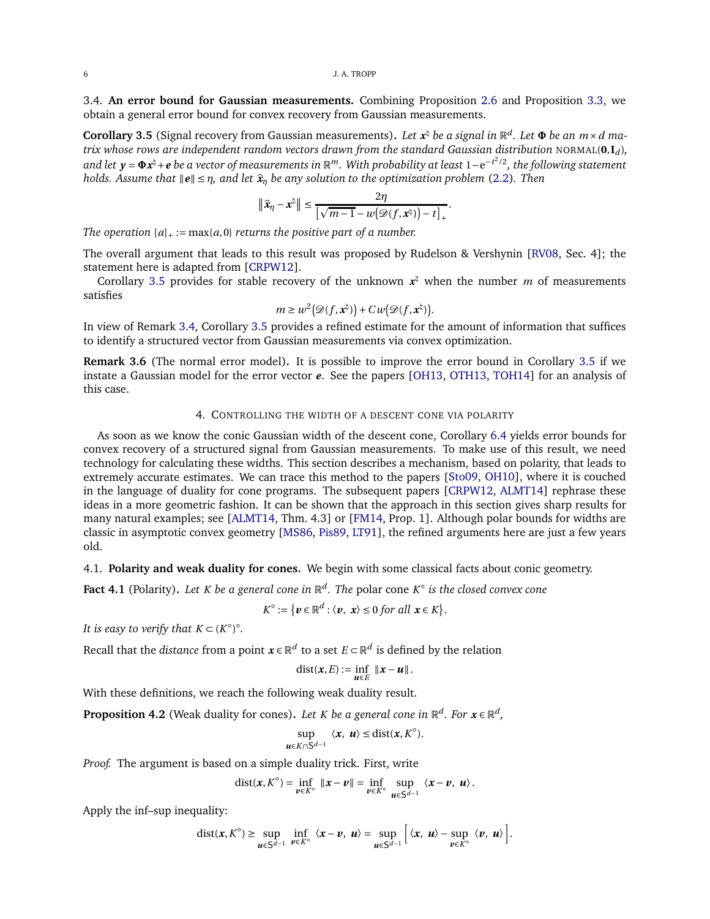3.4. **An error bound for Gaussian measurements.** Combining Proposition [2.6](#page-3-2) and Proposition [3.3,](#page-4-2) we obtain a general error bound for convex recovery from Gaussian measurements.

<span id="page-5-1"></span>**Corollary 3.5** (Signal recovery from Gaussian measurements). Let  $x^{\sharp}$  be a signal in  $\mathbb{R}^{d}$ . Let  $\Phi$  be an  $m \times d$  ma*trix whose rows are independent random vectors drawn from the standard Gaussian distribution* NORMAL(**0**,**I***<sup>d</sup>* )*, and let <sup>y</sup>* <sup>=</sup> **<sup>Φ</sup>***<sup>x</sup>* ♮+*<sup>e</sup> be a vector of measurements in* <sup>R</sup> *<sup>m</sup>. With probability at least* <sup>1</sup>−<sup>e</sup> −*t* 2 /2*, the following statement holds. Assume that*  $\|\mathbf{e}\| \leq \eta$ *, and let*  $\hat{\mathbf{x}}_{\eta}$  *be any solution to the optimization problem* [\(2.2\)](#page-1-2). Then

$$
\|\widehat{\mathbf{x}}_{\eta}-\mathbf{x}^{\natural}\| \leq \frac{2\eta}{\left[\sqrt{m-1}-w(\mathcal{D}(f,\mathbf{x}^{\natural})) - t\right]_{+}}.
$$

*The operation*  $[a]_+ := \max\{a, 0\}$  *returns the positive part of a number.* 

The overall argument that leads to this result was proposed by Rudelson & Vershynin [\[RV08,](#page-19-1) Sec. 4]; the statement here is adapted from [\[CRPW12\]](#page-18-0).

Corollary [3.5](#page-5-1) provides for stable recovery of the unknown  $x^{\dagger}$  when the number *m* of measurements satisfies

$$
m \geq w^2(\mathcal{D}(f, \mathbf{x}^{\natural})) + C w(\mathcal{D}(f, \mathbf{x}^{\natural})).
$$

In view of Remark [3.4,](#page-4-4) Corollary [3.5](#page-5-1) provides a refined estimate for the amount of information that suffices to identify a structured vector from Gaussian measurements via convex optimization.

**Remark 3.6** (The normal error model)**.** It is possible to improve the error bound in Corollary [3.5](#page-5-1) if we instate a Gaussian model for the error vector *e*. See the papers [\[OH13,](#page-19-4) [OTH13,](#page-19-5) [TOH14\]](#page-19-6) for an analysis of this case.

# 4. CONTROLLING THE WIDTH OF A DESCENT CONE VIA POLARITY

<span id="page-5-0"></span>As soon as we know the conic Gaussian width of the descent cone, Corollary [6.4](#page-12-0) yields error bounds for convex recovery of a structured signal from Gaussian measurements. To make use of this result, we need technology for calculating these widths. This section describes a mechanism, based on polarity, that leads to extremely accurate estimates. We can trace this method to the papers [\[Sto09,](#page-19-2) [OH10\]](#page-19-3), where it is couched in the language of duality for cone programs. The subsequent papers [\[CRPW12,](#page-18-0) [ALMT14\]](#page-18-1) rephrase these ideas in a more geometric fashion. It can be shown that the approach in this section gives sharp results for many natural examples; see [\[ALMT14,](#page-18-1) Thm. 4.3] or [\[FM14,](#page-18-2) Prop. 1]. Although polar bounds for widths are classic in asymptotic convex geometry [\[MS86,](#page-19-9) [Pis89,](#page-19-10) [LT91\]](#page-18-10), the refined arguments here are just a few years old.

4.1. **Polarity and weak duality for cones.** We begin with some classical facts about conic geometry.

**Fact 4.1** (Polarity). *Let K be a general cone in* ℝ<sup>d</sup>. *The <code>polar</code> cone K* $^{\circ}$  *is the closed convex cone* 

$$
K^{\circ} := \{ \mathbf{v} \in \mathbb{R}^d : \langle \mathbf{v}, \mathbf{x} \rangle \leq 0 \text{ for all } \mathbf{x} \in K \}.
$$

*It is easy to verify that*  $K \subset (K^{\circ})^{\circ}$ *.* 

Recall that the *distance* from a point  $\boldsymbol{x} \in \mathbb{R}^d$  to a set  $E \subset \mathbb{R}^d$  is defined by the relation

$$
\mathrm{dist}(x,E):=\inf_{\boldsymbol{\mathcal{u}}\in E}\|\boldsymbol{x}-\boldsymbol{\mathcal{u}}\|.
$$

With these definitions, we reach the following weak duality result.

<span id="page-5-2"></span>**Proposition 4.2** (Weak duality for cones). Let *K* be a general cone in  $\mathbb{R}^d$ . For  $\mathbf{x} \in \mathbb{R}^d$ ,

$$
\sup_{\boldsymbol{u}\in K\cap S^{d-1}}\langle \boldsymbol{x},\,\boldsymbol{u}\rangle\leq \text{dist}(\boldsymbol{x},K^{\circ}).
$$

*Proof.* The argument is based on a simple duality trick. First, write

$$
\text{dist}(\boldsymbol{x}, K^{\circ}) = \inf_{\boldsymbol{v} \in K^{\circ}} \|\boldsymbol{x} - \boldsymbol{v}\| = \inf_{\boldsymbol{v} \in K^{\circ}} \sup_{\boldsymbol{u} \in S^{d-1}} \langle \boldsymbol{x} - \boldsymbol{v}, \boldsymbol{u} \rangle.
$$

Apply the inf–sup inequality:

dist
$$
(x, K^{\circ}) \ge \sup_{u \in S^{d-1}} \inf_{v \in K^{\circ}} \langle x - v, u \rangle = \sup_{u \in S^{d-1}} [\langle x, u \rangle - \sup_{v \in K^{\circ}} \langle v, u \rangle].
$$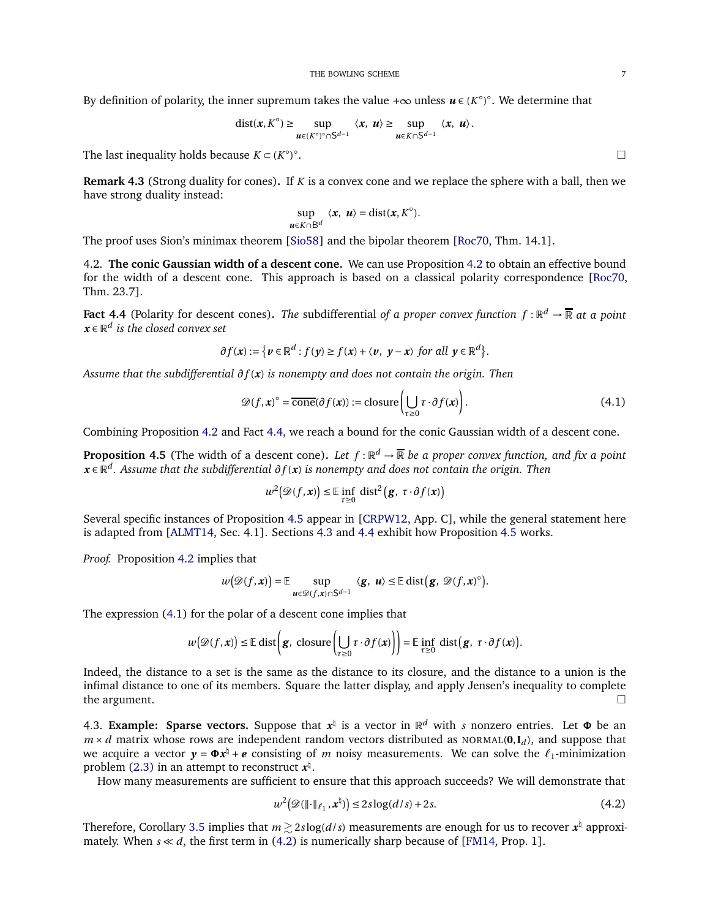By definition of polarity, the inner supremum takes the value + $\infty$  unless  $\boldsymbol{\mathit{u}}\in$  (*K*°)°. We determine that

$$
\text{dist}(\boldsymbol{x}, K^{\circ}) \geq \sup_{\boldsymbol{u} \in (K^{\circ})^{\circ} \cap S^{d-1}} \langle \boldsymbol{x}, \, \boldsymbol{u} \rangle \geq \sup_{\boldsymbol{u} \in K \cap S^{d-1}} \langle \boldsymbol{x}, \, \boldsymbol{u} \rangle.
$$

The last inequality holds because  $K \subset (K^{\circ})^{\circ}$ 

**Remark 4.3** (Strong duality for cones)**.** If *K* is a convex cone and we replace the sphere with a ball, then we have strong duality instead:

$$
\sup_{\boldsymbol{u}\in K\cap B^d}\langle\boldsymbol{x},\,\boldsymbol{u}\rangle=\text{dist}(\boldsymbol{x},K^\circ).
$$

The proof uses Sion's minimax theorem [\[Sio58\]](#page-19-11) and the bipolar theorem [\[Roc70,](#page-19-8) Thm. 14.1].

4.2. **The conic Gaussian width of a descent cone.** We can use Proposition [4.2](#page-5-2) to obtain an effective bound for the width of a descent cone. This approach is based on a classical polarity correspondence [\[Roc70,](#page-19-8) Thm. 23.7].

<span id="page-6-0"></span>**Fact 4.4** (Polarity for descent cones). The subdifferential of a proper convex function  $f : \mathbb{R}^d \to \overline{\mathbb{R}}$  at a point  $\boldsymbol{x} \in \mathbb{R}^d$  is the closed convex set

$$
\partial f(\mathbf{x}) := \{ \mathbf{v} \in \mathbb{R}^d : f(\mathbf{y}) \ge f(\mathbf{x}) + \langle \mathbf{v}, \mathbf{y} - \mathbf{x} \rangle \text{ for all } \mathbf{y} \in \mathbb{R}^d \}.
$$

*Assume that the subdifferential ∂f* (*x*) *is nonempty and does not contain the origin. Then*

<span id="page-6-3"></span>
$$
\mathcal{D}(f, \mathbf{x})^{\circ} = \overline{\text{cone}}(\partial f(\mathbf{x})) := \text{closure}\left(\bigcup_{\tau \ge 0} \tau \cdot \partial f(\mathbf{x})\right). \tag{4.1}
$$

Combining Proposition [4.2](#page-5-2) and Fact [4.4,](#page-6-0) we reach a bound for the conic Gaussian width of a descent cone.

<span id="page-6-1"></span>**Proposition 4.5** (The width of a descent cone). Let  $f : \mathbb{R}^d \to \overline{\mathbb{R}}$  be a proper convex function, and fix a point *<sup>x</sup>* <sup>∈</sup> <sup>R</sup> *d . Assume that the subdifferential ∂f* (*x*) *is nonempty and does not contain the origin. Then*

$$
w^{2}(\mathscr{D}(f, \mathbf{x})) \leq \mathbb{E} \inf_{\tau \geq 0} \mathrm{dist}^{2}(\mathbf{g}, \ \tau \cdot \partial f(\mathbf{x}))
$$

Several specific instances of Proposition [4.5](#page-6-1) appear in [\[CRPW12,](#page-18-0) App. C], while the general statement here is adapted from [\[ALMT14,](#page-18-1) Sec. 4.1]. Sections [4.3](#page-6-2) and [4.4](#page-7-0) exhibit how Proposition [4.5](#page-6-1) works.

*Proof.* Proposition [4.2](#page-5-2) implies that

$$
w(\mathscr{D}(f,\mathbf{x})) = \mathbb{E}\sup_{\mathbf{u}\in\mathscr{D}(f,\mathbf{x})\cap\mathsf{S}^{d-1}}\langle \mathbf{g},\mathbf{u}\rangle \leq \mathbb{E}\operatorname{dist}(\mathbf{g},\mathscr{D}(f,\mathbf{x})^{\circ}).
$$

The expression [\(4.1\)](#page-6-3) for the polar of a descent cone implies that

$$
w(\mathscr{D}(f, \mathbf{x})) \leq \mathbb{E} \operatorname{dist} \left( \mathbf{g}, \operatorname{closure} \left( \bigcup_{\tau \geq 0} \tau \cdot \partial f(\mathbf{x}) \right) \right) = \mathbb{E} \inf_{\tau \geq 0} \operatorname{dist} \left( \mathbf{g}, \ \tau \cdot \partial f(\mathbf{x}) \right).
$$

Indeed, the distance to a set is the same as the distance to its closure, and the distance to a union is the infimal distance to one of its members. Square the latter display, and apply Jensen's inequality to complete the argument.

<span id="page-6-2"></span>4.3. **Example: Sparse vectors.** Suppose that  $x^{\nmid}$  is a vector in  $\mathbb{R}^d$  with *s* nonzero entries. Let  $\Phi$  be an  $m \times d$  matrix whose rows are independent random vectors distributed as NORMAL(0, $I_d$ ), and suppose that we acquire a vector  $y = \Phi x^{\frac{1}{2}} + e$  consisting of *m* noisy measurements. We can solve the  $\ell_1$ -minimization problem [\(2.3\)](#page-1-3) in an attempt to reconstruct  $x^{\natural}$ .

How many measurements are sufficient to ensure that this approach succeeds? We will demonstrate that

<span id="page-6-4"></span>
$$
w^2\big(\mathscr{D}(\lVert \cdot \rVert_{\ell_1}, \mathbf{x}^{\dagger})\big) \le 2s\log(d/s) + 2s. \tag{4.2}
$$

Therefore, Corollary [3.5](#page-5-1) implies that  $m\!gtrsim\!2s\log(d/s)$  measurements are enough for us to recover  $\pmb{x}^{\natural}$  approximately. When  $s \ll d$ , the first term in [\(4.2\)](#page-6-4) is numerically sharp because of [\[FM14,](#page-18-2) Prop. 1].

. В последните поставите на селото на селото на селото на селото на селото на селото на селото на селото на се<br>Селото на селото на селото на селото на селото на селото на селото на селото на селото на селото на селото на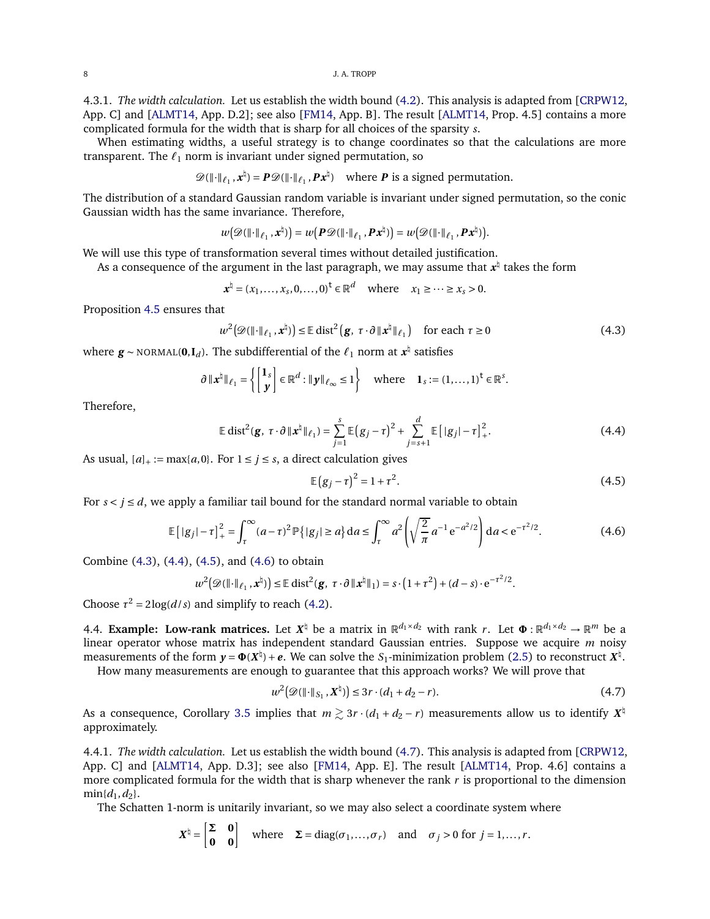4.3.1. *The width calculation.* Let us establish the width bound [\(4.2\)](#page-6-4). This analysis is adapted from [\[CRPW12,](#page-18-0) App. C] and [\[ALMT14,](#page-18-1) App. D.2]; see also [\[FM14,](#page-18-2) App. B]. The result [ALMT14, Prop. 4.5] contains a more complicated formula for the width that is sharp for all choices of the sparsity *s*.

When estimating widths, a useful strategy is to change coordinates so that the calculations are more transparent. The  $\ell_1$  norm is invariant under signed permutation, so

$$
\mathscr{D}(\|\cdot\|_{\ell_1}, \mathbf{x}^{\natural}) = \mathbf{P}\mathscr{D}(\|\cdot\|_{\ell_1}, \mathbf{P}\mathbf{x}^{\natural}) \quad \text{where } \mathbf{P} \text{ is a signed permutation.}
$$

The distribution of a standard Gaussian random variable is invariant under signed permutation, so the conic Gaussian width has the same invariance. Therefore,

$$
w(\mathscr{D}(\Vert \cdot \Vert_{\ell_1}, \mathbf{x}^{\natural})) = w(\mathbf{P}\mathscr{D}(\Vert \cdot \Vert_{\ell_1}, \mathbf{P}\mathbf{x}^{\natural})) = w(\mathscr{D}(\Vert \cdot \Vert_{\ell_1}, \mathbf{P}\mathbf{x}^{\natural})).
$$

We will use this type of transformation several times without detailed justification.

As a consequence of the argument in the last paragraph, we may assume that  $x^\natural$  takes the form

$$
\boldsymbol{x}^{\natural} = (x_1, \ldots, x_s, 0, \ldots, 0)^{\mathsf{t}} \in \mathbb{R}^d \quad \text{where} \quad x_1 \geq \cdots \geq x_s > 0.
$$

Proposition [4.5](#page-6-1) ensures that

<span id="page-7-1"></span>
$$
w^{2}(\mathscr{D}(\|\cdot\|_{\ell_{1}}, \mathbf{x}^{\natural})) \leq \mathbb{E} \operatorname{dist}^{2}(\mathbf{g}, \tau \cdot \partial \|\mathbf{x}^{\natural}\|_{\ell_{1}}) \quad \text{for each } \tau \geq 0
$$
 (4.3)

where  $g \sim \text{NORMAL}(0, I_d)$ . The subdifferential of the  $\ell_1$  norm at  $x^{\natural}$  satisfies

$$
\partial \|x^{\natural}\|_{\ell_1} = \left\{ \begin{bmatrix} \mathbf{1}_s \\ \mathbf{y} \end{bmatrix} \in \mathbb{R}^d : \|\mathbf{y}\|_{\ell_\infty} \leq 1 \right\} \quad \text{where} \quad \mathbf{1}_s := (1, \dots, 1)^{\mathsf{t}} \in \mathbb{R}^s.
$$

Therefore,

<span id="page-7-2"></span>
$$
\mathbb{E} \operatorname{dist}^{2}(\mathbf{g}, \ \tau \cdot \partial \, \|\mathbf{x}^{\natural}\|_{\ell_{1}}) = \sum_{j=1}^{s} \mathbb{E} \big(g_{j} - \tau \big)^{2} + \sum_{j=s+1}^{d} \mathbb{E} \big[|g_{j}| - \tau \big]_{+}^{2}.
$$
 (4.4)

As usual,  $[a]_+ := \max\{a, 0\}$ . For  $1 \le j \le s$ , a direct calculation gives

<span id="page-7-3"></span>
$$
\mathbb{E}(g_j - \tau)^2 = 1 + \tau^2.
$$
 (4.5)

For  $s < j \le d$ , we apply a familiar tail bound for the standard normal variable to obtain

<span id="page-7-4"></span>
$$
\mathbb{E}\left[|g_j| - \tau\right]_+^2 = \int_\tau^\infty (a - \tau)^2 \mathbb{P}\left\{|g_j| \ge a\right\} \mathrm{d}a \le \int_\tau^\infty a^2 \left(\sqrt{\frac{2}{\pi}} a^{-1} e^{-a^2/2}\right) \mathrm{d}a < e^{-\tau^2/2}.\tag{4.6}
$$

Combine [\(4.3\)](#page-7-1), [\(4.4\)](#page-7-2), [\(4.5\)](#page-7-3), and [\(4.6\)](#page-7-4) to obtain

$$
w^2(\mathscr{D}(\|\cdot\|_{\ell_1}, \boldsymbol{x}^{\natural})) \leq \mathbb{E} \operatorname{dist}^2(\boldsymbol{g}, \ \tau \cdot \partial \|\boldsymbol{x}^{\natural}\|_1) = s \cdot (1+\tau^2) + (d-s) \cdot e^{-\tau^2/2}.
$$

Choose  $\tau^2 = 2\log(d/s)$  and simplify to reach [\(4.2\)](#page-6-4).

<span id="page-7-0"></span>4.4. **Example:** Low-rank matrices. Let  $X^{\natural}$  be a matrix in  $\mathbb{R}^{d_1 \times d_2}$  with rank *r*. Let  $\Phi : \mathbb{R}^{d_1 \times d_2} \to \mathbb{R}^m$  be a linear operator whose matrix has independent standard Gaussian entries. Suppose we acquire *m* noisy measurements of the form  $y = \Phi(X^{\dagger}) + e$ . We can solve the *S*<sub>1</sub>-minimization problem [\(2.5\)](#page-2-2) to reconstruct  $X^{\dagger}$ .

How many measurements are enough to guarantee that this approach works? We will prove that

<span id="page-7-5"></span>
$$
w^{2}(\mathscr{D}(\|\cdot\|_{S_{1}}, \mathbf{X}^{\natural})) \leq 3r \cdot (d_{1} + d_{2} - r). \tag{4.7}
$$

As a consequence, Corollary [3.5](#page-5-1) implies that  $m \gtrsim 3r \cdot (d_1 + d_2 - r)$  measurements allow us to identify  $X^{\natural}$ approximately.

4.4.1. *The width calculation.* Let us establish the width bound [\(4.7\)](#page-7-5). This analysis is adapted from [\[CRPW12,](#page-18-0) App. C] and [\[ALMT14,](#page-18-1) App. D.3]; see also [\[FM14,](#page-18-2) App. E]. The result [\[ALMT14,](#page-18-1) Prop. 4.6] contains a more complicated formula for the width that is sharp whenever the rank  $r$  is proportional to the dimension  $min{d_1, d_2}$ .

The Schatten 1-norm is unitarily invariant, so we may also select a coordinate system where

$$
X^{\natural} = \begin{bmatrix} \Sigma & 0 \\ 0 & 0 \end{bmatrix} \quad \text{where} \quad \Sigma = \text{diag}(\sigma_1, \dots, \sigma_r) \quad \text{and} \quad \sigma_j > 0 \text{ for } j = 1, \dots, r.
$$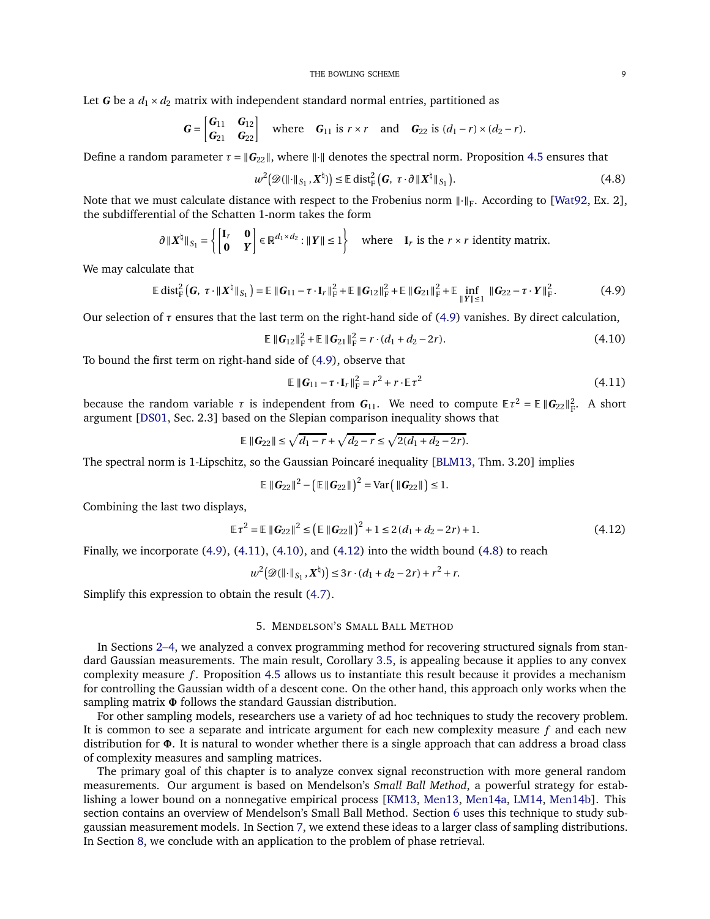Let *G* be a  $d_1 \times d_2$  matrix with independent standard normal entries, partitioned as

$$
\mathbf{G} = \begin{bmatrix} \mathbf{G}_{11} & \mathbf{G}_{12} \\ \mathbf{G}_{21} & \mathbf{G}_{22} \end{bmatrix} \quad \text{where} \quad \mathbf{G}_{11} \text{ is } r \times r \quad \text{and} \quad \mathbf{G}_{22} \text{ is } (d_1 - r) \times (d_2 - r).
$$

Define a random parameter  $\tau = ||G_{22}||$ , where  $||\cdot||$  denotes the spectral norm. Proposition [4.5](#page-6-1) ensures that

<span id="page-8-5"></span>
$$
w^{2}(\mathscr{D}(\|\cdot\|_{S_{1}}, X^{\natural})) \leq \mathbb{E} \operatorname{dist}_{\mathbb{F}}^{2}(\mathbf{G}, \tau \cdot \partial \|X^{\natural}\|_{S_{1}}). \tag{4.8}
$$

Note that we must calculate distance with respect to the Frobenius norm  $\lVert \cdot \rVert_F$ . According to [\[Wat92,](#page-19-12) Ex. 2], the subdifferential of the Schatten 1-norm takes the form

$$
\partial \|X^{\natural}\|_{S_1} = \left\{ \begin{bmatrix} \mathbf{I}_r & \mathbf{0} \\ \mathbf{0} & Y \end{bmatrix} \in \mathbb{R}^{d_1 \times d_2} : \|Y\| \le 1 \right\} \quad \text{where} \quad \mathbf{I}_r \text{ is the } r \times r \text{ identity matrix.}
$$

We may calculate that

$$
\mathbb{E} \operatorname{dist}_{F}^{2}\left(G, \tau \cdot \|X^{\dagger}\|_{S_{1}}\right) = \mathbb{E} \left\|G_{11} - \tau \cdot I_{r}\right\|_{F}^{2} + \mathbb{E} \left\|G_{12}\right\|_{F}^{2} + \mathbb{E} \left\|G_{21}\right\|_{F}^{2} + \mathbb{E} \inf_{\|Y\| \leq 1} \left\|G_{22} - \tau \cdot Y\right\|_{F}^{2}.
$$
 (4.9)

Our selection of  $\tau$  ensures that the last term on the right-hand side of [\(4.9\)](#page-8-1) vanishes. By direct calculation,

<span id="page-8-3"></span>
$$
\mathbb{E} \|G_{12}\|_{\mathrm{F}}^2 + \mathbb{E} \|G_{21}\|_{\mathrm{F}}^2 = r \cdot (d_1 + d_2 - 2r). \tag{4.10}
$$

To bound the first term on right-hand side of [\(4.9\)](#page-8-1), observe that

<span id="page-8-2"></span><span id="page-8-1"></span>
$$
\mathbb{E} \|\mathbf{G}_{11} - \tau \cdot \mathbf{I}_r\|_{\mathrm{F}}^2 = r^2 + r \cdot \mathbb{E} \tau^2
$$
\n(4.11)

because the random variable  $\tau$  is independent from  $G_{11}$ . We need to compute  $E\tau^2 = E ||G_{22}||_F^2$ . A short argument [\[DS01,](#page-18-13) Sec. 2.3] based on the Slepian comparison inequality shows that

$$
\mathbb{E} \|G_{22}\| \le \sqrt{d_1 - r} + \sqrt{d_2 - r} \le \sqrt{2(d_1 + d_2 - 2r)}.
$$

The spectral norm is 1-Lipschitz, so the Gaussian Poincaré inequality [\[BLM13,](#page-18-14) Thm. 3.20] implies

$$
\mathbb{E} \|\boldsymbol{G}_{22}\|^2 - \left(\mathbb{E} \|\boldsymbol{G}_{22}\| \right)^2 = \text{Var} \left( \|\boldsymbol{G}_{22}\| \right) \leq 1.
$$

Combining the last two displays,

<span id="page-8-4"></span>
$$
\mathbb{E}\tau^2 = \mathbb{E}\|\mathbf{G}_{22}\|^2 \le \left(\mathbb{E}\|\mathbf{G}_{22}\|\right)^2 + 1 \le 2(d_1 + d_2 - 2r) + 1.
$$
 (4.12)

Finally, we incorporate  $(4.9)$ ,  $(4.11)$ ,  $(4.10)$ , and  $(4.12)$  into the width bound  $(4.8)$  to reach

$$
w^2(\mathcal{D}(\|\cdot\|_{S_1}, \mathbf{X}^{\natural})) \leq 3r \cdot (d_1 + d_2 - 2r) + r^2 + r.
$$

<span id="page-8-0"></span>Simplify this expression to obtain the result [\(4.7\)](#page-7-5).

# 5. MENDELSON'S SMALL BALL METHOD

In Sections [2](#page-1-0)[–4,](#page-5-0) we analyzed a convex programming method for recovering structured signals from standard Gaussian measurements. The main result, Corollary [3.5,](#page-5-1) is appealing because it applies to any convex complexity measure *f*. Proposition [4.5](#page-6-1) allows us to instantiate this result because it provides a mechanism for controlling the Gaussian width of a descent cone. On the other hand, this approach only works when the sampling matrix **Φ** follows the standard Gaussian distribution.

For other sampling models, researchers use a variety of ad hoc techniques to study the recovery problem. It is common to see a separate and intricate argument for each new complexity measure *f* and each new distribution for **Φ**. It is natural to wonder whether there is a single approach that can address a broad class of complexity measures and sampling matrices.

The primary goal of this chapter is to analyze convex signal reconstruction with more general random measurements. Our argument is based on Mendelson's *Small Ball Method*, a powerful strategy for establishing a lower bound on a nonnegative empirical process [\[KM13,](#page-18-4) [Men13,](#page-18-5) [Men14a,](#page-18-6) [LM14,](#page-18-7) [Men14b\]](#page-19-7). This section contains an overview of Mendelson's Small Ball Method. Section [6](#page-11-0) uses this technique to study subgaussian measurement models. In Section [7,](#page-13-0) we extend these ideas to a larger class of sampling distributions. In Section [8,](#page-15-0) we conclude with an application to the problem of phase retrieval.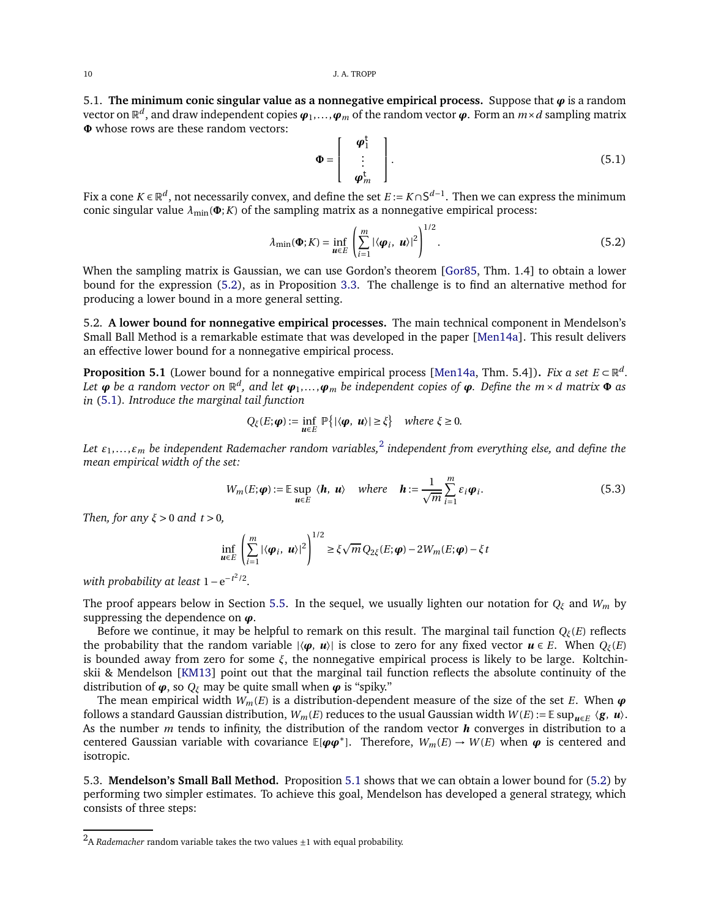5.1. **The minimum conic singular value as a nonnegative empirical process.** Suppose that  $\varphi$  is a random vector on  $\mathbb{R}^d$ , and draw independent copies  $\bm{\varphi}_1,\ldots,\bm{\varphi}_m$  of the random vector  $\bm{\varphi}.$  Form an  $m\times d$  sampling matrix **Φ** whose rows are these random vectors:

<span id="page-9-1"></span>
$$
\Phi = \left[ \begin{array}{c} \boldsymbol{\varphi}_1^{\mathrm{t}} \\ \vdots \\ \boldsymbol{\varphi}_m^{\mathrm{t}} \end{array} \right]. \tag{5.1}
$$

Fix a cone *K* ∈  $\mathbb{R}^d$ , not necessarily convex, and define the set *E* := *K*∩S<sup>*d*−1</sup>. Then we can express the minimum conic singular value  $\lambda_{\min}(\Phi; K)$  of the sampling matrix as a nonnegative empirical process:

<span id="page-9-0"></span>
$$
\lambda_{\min}(\mathbf{\Phi}; K) = \inf_{\mathbf{u} \in E} \left( \sum_{i=1}^{m} |\langle \mathbf{\boldsymbol{\varphi}}_i, \mathbf{u} \rangle|^2 \right)^{1/2}.
$$
 (5.2)

When the sampling matrix is Gaussian, we can use Gordon's theorem [\[Gor85,](#page-18-11) Thm. 1.4] to obtain a lower bound for the expression [\(5.2\)](#page-9-0), as in Proposition [3.3.](#page-4-2) The challenge is to find an alternative method for producing a lower bound in a more general setting.

5.2. **A lower bound for nonnegative empirical processes.** The main technical component in Mendelson's Small Ball Method is a remarkable estimate that was developed in the paper [\[Men14a\]](#page-18-6). This result delivers an effective lower bound for a nonnegative empirical process.

<span id="page-9-2"></span>**Proposition 5.1** (Lower bound for a nonnegative empirical process [\[Men14a,](#page-18-6) Thm. 5.4]). *Fix a set*  $E \subset \mathbb{R}^d$ . Let  $\bm{\varphi}$  be a random vector on  $\mathbb{R}^d$ , and let  $\bm{\varphi}_1,\ldots,\bm{\varphi}_m$  be independent copies of  $\bm{\varphi}$ . Define the  $m\times d$  matrix  $\bm{\Phi}$  as *in* [\(5.1\)](#page-9-1)*. Introduce the marginal tail function*

$$
Q_\xi(E;\pmb{\varphi}) := \inf_{\pmb{u}\in E} \mathbb{P}\big\{|\langle \pmb{\varphi},\ \pmb{u}\rangle| \geq \xi\big\} \quad \textit{where $\xi\geq 0$.}
$$

*Let <sup>ε</sup>*1,... ,*ε<sup>m</sup> be independent Rademacher random variables,*<sup>2</sup> *independent from everything else, and define the mean empirical width of the set:*

<span id="page-9-3"></span>
$$
W_m(E; \boldsymbol{\varphi}) := \mathbb{E} \sup_{\boldsymbol{\mu} \in E} \langle \boldsymbol{h}, \boldsymbol{\mu} \rangle \quad \text{where} \quad \boldsymbol{h} := \frac{1}{\sqrt{m}} \sum_{i=1}^m \varepsilon_i \boldsymbol{\varphi}_i. \tag{5.3}
$$

*Then, for any ξ* > 0 *and t* > 0*,*

$$
\inf_{\boldsymbol{u}\in E}\left(\sum_{i=1}^m|\langle\boldsymbol{\varphi}_i,\,\boldsymbol{u}\rangle|^2\right)^{1/2}\geq \xi\sqrt{m}Q_{2\xi}(E;\boldsymbol{\varphi})-2W_m(E;\boldsymbol{\varphi})-\xi\,t
$$

*with probability at least* 1−e<sup>−*t<sup>2</sup>*/2</sup>.

The proof appears below in Section [5.5.](#page-10-0) In the sequel, we usually lighten our notation for *Q<sup>ξ</sup>* and *W<sup>m</sup>* by suppressing the dependence on *ϕ*.

Before we continue, it may be helpful to remark on this result. The marginal tail function *Qξ*(*E*) reflects the probability that the random variable  $|\langle \varphi, u \rangle|$  is close to zero for any fixed vector  $u \in E$ . When  $Q_{\xi}(E)$ is bounded away from zero for some *ξ*, the nonnegative empirical process is likely to be large. Koltchinskii & Mendelson [\[KM13\]](#page-18-4) point out that the marginal tail function reflects the absolute continuity of the distribution of  $\boldsymbol{\varphi}$ , so  $Q_{\xi}$  may be quite small when  $\boldsymbol{\varphi}$  is "spiky."

The mean empirical width  $W_m(E)$  is a distribution-dependent measure of the size of the set *E*. When  $\varphi$ follows a standard Gaussian distribution,  $W_m(E)$  reduces to the usual Gaussian width  $W(E) := \mathbb{E} \sup_{u \in E} \langle g, u \rangle$ . As the number *m* tends to infinity, the distribution of the random vector *h* converges in distribution to a centered Gaussian variable with covariance  $\mathbb{E}[\varphi \varphi^*]$ . Therefore,  $W_m(E) \to W(E)$  when  $\varphi$  is centered and isotropic.

5.3. **Mendelson's Small Ball Method.** Proposition [5.1](#page-9-2) shows that we can obtain a lower bound for [\(5.2\)](#page-9-0) by performing two simpler estimates. To achieve this goal, Mendelson has developed a general strategy, which consists of three steps:

<sup>&</sup>lt;sup>2</sup>A *Rademacher* random variable takes the two values ±1 with equal probability.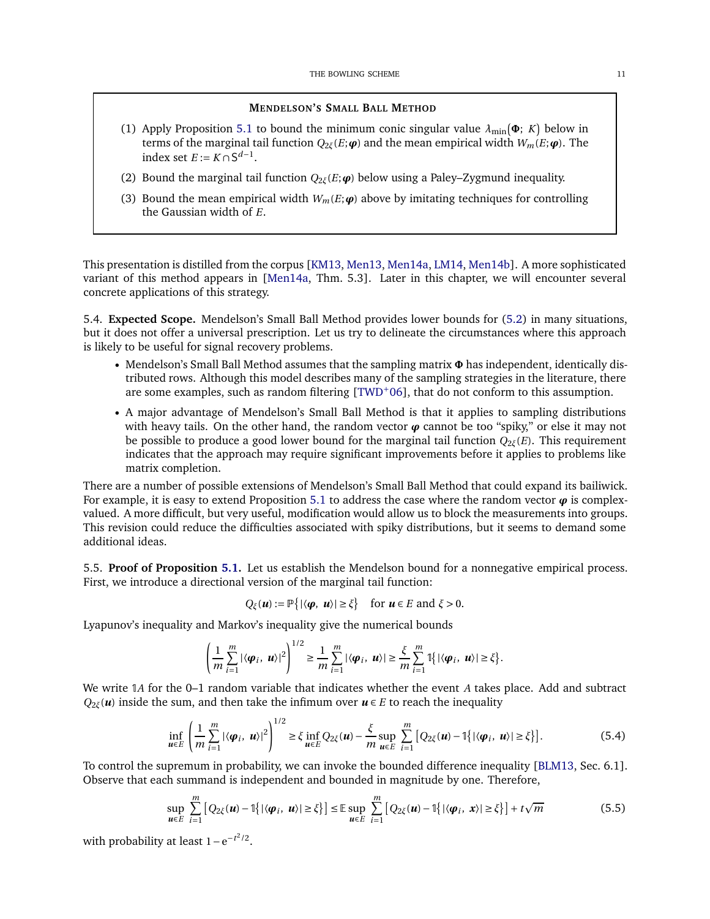# **MENDELSON'S SMALL BALL METHOD**

- (1) Apply Proposition [5.1](#page-9-2) to bound the minimum conic singular value  $\lambda_{\min}(\Phi; K)$  below in terms of the marginal tail function  $Q_{2\xi}(E;\boldsymbol{\varphi})$  and the mean empirical width  $W_m(E;\boldsymbol{\varphi})$ . The index set  $E := K \cap S^{d-1}$ .
- (2) Bound the marginal tail function *Q*2*ξ*(*E*;*ϕ*) below using a Paley–Zygmund inequality.
- (3) Bound the mean empirical width  $W_m(E; \boldsymbol{\varphi})$  above by imitating techniques for controlling the Gaussian width of *E*.

This presentation is distilled from the corpus [\[KM13,](#page-18-4) [Men13,](#page-18-5) [Men14a,](#page-18-6) [LM14,](#page-18-7) [Men14b\]](#page-19-7). A more sophisticated variant of this method appears in [\[Men14a,](#page-18-6) Thm. 5.3]. Later in this chapter, we will encounter several concrete applications of this strategy.

5.4. **Expected Scope.** Mendelson's Small Ball Method provides lower bounds for [\(5.2\)](#page-9-0) in many situations, but it does not offer a universal prescription. Let us try to delineate the circumstances where this approach is likely to be useful for signal recovery problems.

- Mendelson's Small Ball Method assumes that the sampling matrix **<sup>Φ</sup>** has independent, identically distributed rows. Although this model describes many of the sampling strategies in the literature, there are some examples, such as random filtering  $[TWD^+06]$  $[TWD^+06]$ , that do not conform to this assumption.
- A major advantage of Mendelson's Small Ball Method is that it applies to sampling distributions with heavy tails. On the other hand, the random vector  $\varphi$  cannot be too "spiky," or else it may not be possible to produce a good lower bound for the marginal tail function  $Q_{2\zeta}(E)$ . This requirement indicates that the approach may require significant improvements before it applies to problems like matrix completion.

There are a number of possible extensions of Mendelson's Small Ball Method that could expand its bailiwick. For example, it is easy to extend Proposition [5.1](#page-9-2) to address the case where the random vector  $\varphi$  is complexvalued. A more difficult, but very useful, modification would allow us to block the measurements into groups. This revision could reduce the difficulties associated with spiky distributions, but it seems to demand some additional ideas.

<span id="page-10-0"></span>5.5. **Proof of Proposition [5.1.](#page-9-2)** Let us establish the Mendelson bound for a nonnegative empirical process. First, we introduce a directional version of the marginal tail function:

$$
Q_{\xi}(\boldsymbol{u}) := \mathbb{P}\big\{|\langle \boldsymbol{\varphi}, \, \boldsymbol{u} \rangle| \geq \xi\big\} \quad \text{for } \boldsymbol{u} \in E \text{ and } \xi > 0.
$$

Lyapunov's inequality and Markov's inequality give the numerical bounds

$$
\left(\frac{1}{m}\sum_{i=1}^m|\langle\boldsymbol{\varphi}_i,\boldsymbol{u}\rangle|^2\right)^{1/2}\geq\frac{1}{m}\sum_{i=1}^m|\langle\boldsymbol{\varphi}_i,\boldsymbol{u}\rangle|\geq\frac{\xi}{m}\sum_{i=1}^m\mathbb{I}\big\{|\langle\boldsymbol{\varphi}_i,\boldsymbol{u}\rangle|\geq\zeta\big\}.
$$

We write 1*A* for the 0–1 random variable that indicates whether the event *A* takes place. Add and subtract *Q*<sub>2*ξ*</sub>(*) inside the sum, and then take the infimum over*  $*u* \in *E*$  *to reach the inequality* 

<span id="page-10-1"></span>
$$
\inf_{\boldsymbol{u}\in E}\left(\frac{1}{m}\sum_{i=1}^{m}|\langle\boldsymbol{\varphi}_i,\,\boldsymbol{u}\rangle|^2\right)^{1/2}\geq \xi\inf_{\boldsymbol{u}\in E}Q_{2\xi}(\boldsymbol{u})-\frac{\xi}{m}\sup_{\boldsymbol{u}\in E}\sum_{i=1}^{m}\big[Q_{2\xi}(\boldsymbol{u})-\mathbb{1}\big\{|\langle\boldsymbol{\varphi}_i,\,\boldsymbol{u}\rangle|\geq \xi\big\}\big].\tag{5.4}
$$

To control the supremum in probability, we can invoke the bounded difference inequality [\[BLM13,](#page-18-14) Sec. 6.1]. Observe that each summand is independent and bounded in magnitude by one. Therefore,

<span id="page-10-2"></span>
$$
\sup_{\mathbf{u}\in E}\sum_{i=1}^{m}\left[Q_{2\xi}(\mathbf{u})-\mathbb{1}\{|\langle\boldsymbol{\varphi}_{i},\mathbf{u}\rangle|\geq\xi\}\right]\leq\mathbb{E}\sup_{\mathbf{u}\in E}\sum_{i=1}^{m}\left[Q_{2\xi}(\mathbf{u})-\mathbb{1}\{|\langle\boldsymbol{\varphi}_{i},\mathbf{x}\rangle|\geq\xi\}\right]+t\sqrt{m} \tag{5.5}
$$

with probability at least  $1 - e^{-t^2/2}$ .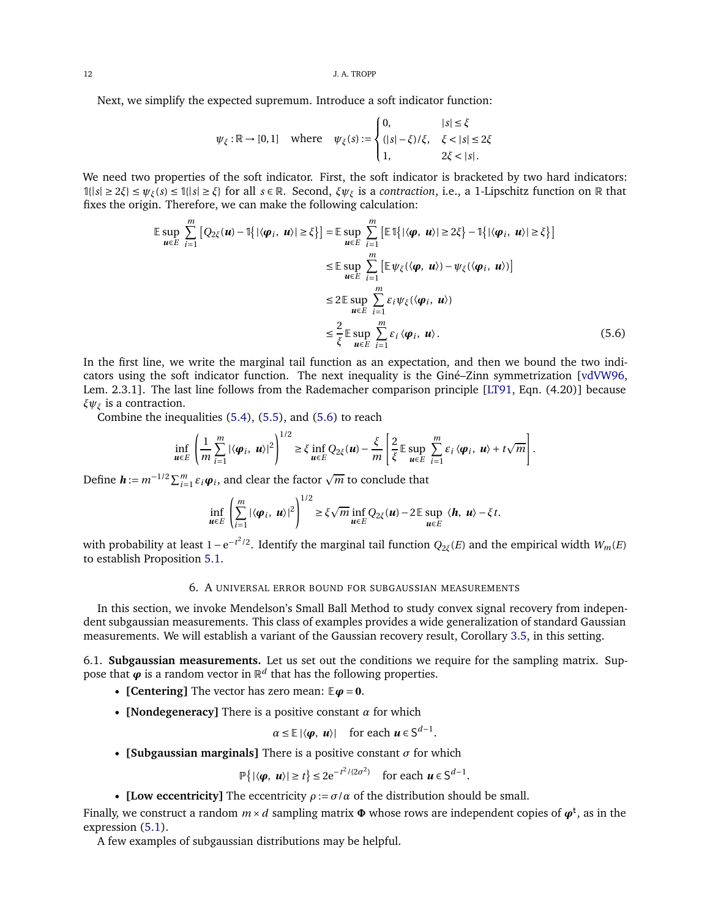12 J.A. TROPP

Next, we simplify the expected supremum. Introduce a soft indicator function:

$$
\psi_{\xi} : \mathbb{R} \to [0,1] \quad \text{where} \quad \psi_{\xi}(s) := \begin{cases} 0, & |s| \leq \xi \\ (|s| - \xi)/\xi, & \xi < |s| \leq 2\xi \\ 1, & 2\xi < |s|. \end{cases}
$$

We need two properties of the soft indicator. First, the soft indicator is bracketed by two hard indicators: <sup>1</sup>{|*s*<sup>|</sup> <sup>≥</sup> <sup>2</sup>*ξ*} <sup>≤</sup> *<sup>ψ</sup>ξ*(*s*) <sup>≤</sup> <sup>1</sup>{|*s*<sup>|</sup> <sup>≥</sup> *<sup>ξ</sup>*} for all *<sup>s</sup>* <sup>∈</sup> <sup>R</sup>. Second, *ξψ<sup>ξ</sup>* is a *contraction*, i.e., a 1-Lipschitz function on <sup>R</sup> that fixes the origin. Therefore, we can make the following calculation:

$$
\mathbb{E} \sup_{\mathbf{u} \in E} \sum_{i=1}^{m} \left[ Q_{2\xi}(\mathbf{u}) - \mathbb{I}\{ |\langle \boldsymbol{\varphi}_i, \, \mathbf{u} \rangle| \ge \xi \} \right] = \mathbb{E} \sup_{\mathbf{u} \in E} \sum_{i=1}^{m} \left[ \mathbb{E} \mathbb{I}\{ |\langle \boldsymbol{\varphi}, \, \mathbf{u} \rangle| \ge 2\xi \} - \mathbb{I}\{ |\langle \boldsymbol{\varphi}_i, \, \mathbf{u} \rangle| \ge \xi \} \right]
$$
\n
$$
\le \mathbb{E} \sup_{\mathbf{u} \in E} \sum_{i=1}^{m} \left[ \mathbb{E} \psi_{\xi}(\langle \boldsymbol{\varphi}, \, \mathbf{u} \rangle) - \psi_{\xi}(\langle \boldsymbol{\varphi}_i, \, \mathbf{u} \rangle) \right]
$$
\n
$$
\le 2 \mathbb{E} \sup_{\mathbf{u} \in E} \sum_{i=1}^{m} \varepsilon_{i} \psi_{\xi}(\langle \boldsymbol{\varphi}_i, \, \mathbf{u} \rangle)
$$
\n
$$
\le \frac{2}{\xi} \mathbb{E} \sup_{\mathbf{u} \in E} \sum_{i=1}^{m} \varepsilon_{i} \langle \boldsymbol{\varphi}_i, \, \mathbf{u} \rangle. \tag{5.6}
$$

In the first line, we write the marginal tail function as an expectation, and then we bound the two indicators using the soft indicator function. The next inequality is the Giné–Zinn symmetrization [\[vdVW96,](#page-19-14) Lem. 2.3.1]. The last line follows from the Rademacher comparison principle [\[LT91,](#page-18-10) Eqn. (4.20)] because *ξψ<sup>ξ</sup>* is a contraction.

Combine the inequalities [\(5.4\)](#page-10-1), [\(5.5\)](#page-10-2), and [\(5.6\)](#page-11-1) to reach

$$
\inf_{\boldsymbol{u}\in E}\left(\frac{1}{m}\sum_{i=1}^{m}|\langle\boldsymbol{\varphi}_i,\,\boldsymbol{u}\rangle|^2\right)^{1/2}\geq \xi\inf_{\boldsymbol{u}\in E}Q_{2\xi}(\boldsymbol{u})-\frac{\xi}{m}\left[\frac{2}{\xi}\mathbb{E}\sup_{\boldsymbol{u}\in E}\sum_{i=1}^{m}\varepsilon_i\langle\boldsymbol{\varphi}_i,\,\boldsymbol{u}\rangle+t\sqrt{m}\right].
$$

Define  $\boldsymbol{h} := m^{-1/2} \sum_{i=1}^{m} \varepsilon_i \boldsymbol{\varphi}_i$ , and clear the factor  $\sqrt{m}$  to conclude that

<span id="page-11-1"></span>
$$
\inf_{\boldsymbol{u}\in E}\left(\sum_{i=1}^m|\langle\boldsymbol{\varphi}_i,\,\boldsymbol{u}\rangle|^2\right)^{1/2}\geq \xi\sqrt{m}\inf_{\boldsymbol{u}\in E}Q_{2\xi}(\boldsymbol{u})-2\mathbb{E}\sup_{\boldsymbol{u}\in E}\langle\boldsymbol{h},\,\boldsymbol{u}\rangle-\xi\,t.
$$

<span id="page-11-0"></span>*w*ith probability at least 1−e<sup>-*t*<sup>2</sup>/2</sup>. Identify the marginal tail function  $Q_{2\xi}(E)$  and the empirical width  $W_m(E)$ to establish Proposition [5.1.](#page-9-2)

# 6. A UNIVERSAL ERROR BOUND FOR SUBGAUSSIAN MEASUREMENTS

In this section, we invoke Mendelson's Small Ball Method to study convex signal recovery from independent subgaussian measurements. This class of examples provides a wide generalization of standard Gaussian measurements. We will establish a variant of the Gaussian recovery result, Corollary [3.5,](#page-5-1) in this setting.

<span id="page-11-2"></span>6.1. **Subgaussian measurements.** Let us set out the conditions we require for the sampling matrix. Suppose that  $\boldsymbol{\varphi}$  is a random vector in  $\mathbb{R}^d$  that has the following properties.

- **[Centering]** The vector has zero mean: <sup>E</sup>*<sup>ϕ</sup>* <sup>=</sup> **<sup>0</sup>**.
- **[Nondegeneracy]** There is a positive constant *α* for which

$$
\alpha \leq \mathbb{E} \left| \langle \boldsymbol{\varphi}, \, \boldsymbol{u} \rangle \right| \quad \text{for each } \boldsymbol{u} \in \mathsf{S}^{d-1}.
$$

• **[Subgaussian marginals]** There is a positive constant  $\sigma$  for which

$$
\mathbb{P}\big\{|\langle \boldsymbol{\varphi}, \boldsymbol{u}\rangle| \geq t\big\} \leq 2e^{-t^2/(2\sigma^2)} \quad \text{for each } \boldsymbol{u} \in \mathbb{S}^{d-1}.
$$

• **[Low eccentricity]** The eccentricity  $\rho := \sigma/\alpha$  of the distribution should be small.

Finally, we construct a random  $m \times d$  sampling matrix  $\Phi$  whose rows are independent copies of  $\pmb{\varphi}^{\rm t}$ , as in the expression [\(5.1\)](#page-9-1).

A few examples of subgaussian distributions may be helpful.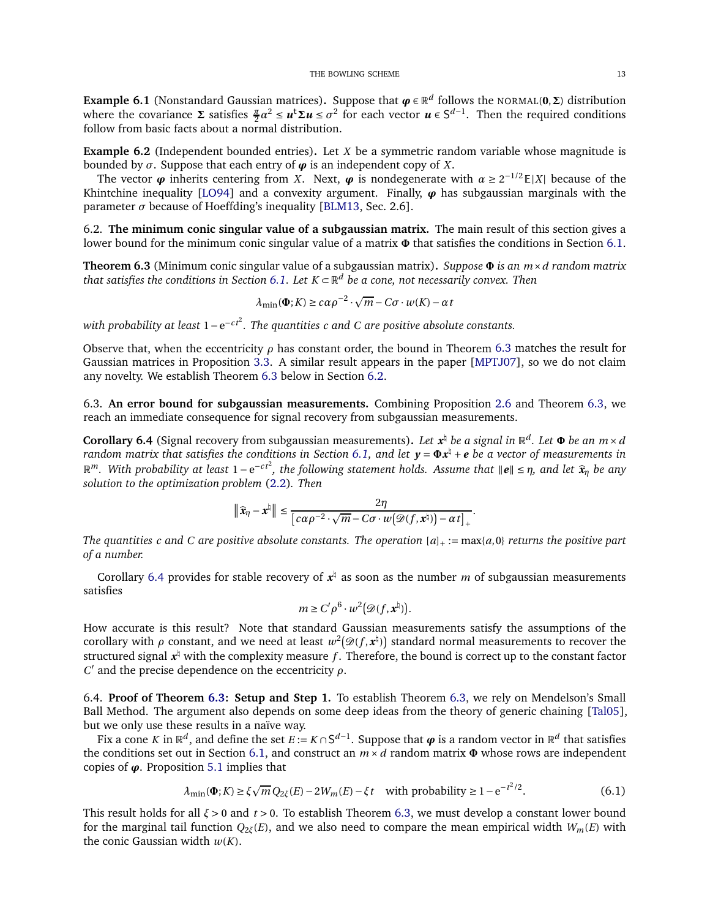**Example 6.1** (Nonstandard Gaussian matrices). Suppose that  $\boldsymbol{\varphi} \in \mathbb{R}^d$  follows the NORMAL(0,  $\Sigma$ ) distribution where the covariance  $\Sigma$  satisfies  $\frac{\pi}{2}a^2 \le u^t \Sigma u \le \sigma^2$  for each vector  $u \in S^{d-1}$ . Then the required conditions follow from basic facts about a normal distribution.

**Example 6.2** (Independent bounded entries)**.** Let *X* be a symmetric random variable whose magnitude is bounded by *σ*. Suppose that each entry of  $\phi$  is an independent copy of *X*.

The vector  $\varphi$  inherits centering from *X*. Next,  $\varphi$  is nondegenerate with  $\alpha \ge 2^{-1/2} E|X|$  because of the Khintchine inequality [\[LO94\]](#page-18-15) and a convexity argument. Finally,  $\varphi$  has subgaussian marginals with the parameter  $\sigma$  because of Hoeffding's inequality [\[BLM13,](#page-18-14) Sec. 2.6].

<span id="page-12-2"></span>6.2. **The minimum conic singular value of a subgaussian matrix.** The main result of this section gives a lower bound for the minimum conic singular value of a matrix **Φ** that satisfies the conditions in Section [6.1.](#page-11-2)

<span id="page-12-1"></span>**Theorem 6.3** (Minimum conic singular value of a subgaussian matrix)**.** *Suppose* **<sup>Φ</sup>** *is an <sup>m</sup>*×*<sup>d</sup> random matrix that satisfies the conditions in Section [6.1.](#page-11-2) Let <sup>K</sup>* <sup>⊂</sup> <sup>R</sup> *<sup>d</sup> be a cone, not necessarily convex. Then*

$$
\lambda_{\min}(\mathbf{\Phi}; K) \geq c\alpha \rho^{-2} \cdot \sqrt{m} - C\sigma \cdot w(K) - \alpha t
$$

*with probability at least* 1−e<sup>−ct<sup>2</sup>. The quantities c and C are positive absolute constants.</sup>

Observe that, when the eccentricity  $\rho$  has constant order, the bound in Theorem [6.3](#page-12-1) matches the result for Gaussian matrices in Proposition [3.3.](#page-4-2) A similar result appears in the paper [\[MPTJ07\]](#page-19-0), so we do not claim any novelty. We establish Theorem [6.3](#page-12-1) below in Section [6.2.](#page-12-2)

6.3. **An error bound for subgaussian measurements.** Combining Proposition [2.6](#page-3-2) and Theorem [6.3,](#page-12-1) we reach an immediate consequence for signal recovery from subgaussian measurements.

<span id="page-12-0"></span>**Corollary 6.4** (Signal recovery from subgaussian measurements). Let  $x^{\sharp}$  be a signal in  $\mathbb{R}^d$ . Let  $\Phi$  be an  $m \times d$ *random matrix that satisfies the conditions in Section [6.1,](#page-11-2) and let <sup>y</sup>* <sup>=</sup> **<sup>Φ</sup>***<sup>x</sup>* ♮ <sup>+</sup> *<sup>e</sup> be a vector of measurements in*  $\mathbb{R}^m$ . With probability at least 1 − e<sup>-ct<sup>2</sup>, the following statement holds. Assume that  $\|\mathbf{e}\| \leq \eta$ , and let  $\hat{\mathbf{x}}_{\eta}$  be any</sup> *solution to the optimization problem* [\(2.2\)](#page-1-2)*. Then*

$$
\|\widehat{\mathbf{x}}_{\eta}-\mathbf{x}^{\natural}\| \leq \frac{2\eta}{\left[c\alpha\rho^{-2}\cdot\sqrt{m}-C\sigma\cdot w(\mathcal{D}(f,\mathbf{x}^{\natural}))-\alpha t\right]_{+}}.
$$

*The quantities c* and *C* are positive absolute constants. The operation  $[a]_+ := \max\{a, 0\}$  *returns the positive part of a number.*

Corollary [6.4](#page-12-0) provides for stable recovery of  $x^{\dagger}$  as soon as the number *m* of subgaussian measurements satisfies

$$
m \ge C' \rho^6 \cdot w^2 \big( \mathcal{D}(f, \mathbf{x}^{\natural}) \big).
$$

How accurate is this result? Note that standard Gaussian measurements satisfy the assumptions of the corollary with  $\rho$  constant, and we need at least  $w^2(\mathscr{D}(f, \mathbf{x}^{\natural}))$  standard normal measurements to recover the structured signal *x* ♮ with the complexity measure *f* . Therefore, the bound is correct up to the constant factor *C* ′ and the precise dependence on the eccentricity *ρ*.

6.4. **Proof of Theorem [6.3:](#page-12-1) Setup and Step 1.** To establish Theorem [6.3,](#page-12-1) we rely on Mendelson's Small Ball Method. The argument also depends on some deep ideas from the theory of generic chaining [\[Tal05\]](#page-19-15), but we only use these results in a naïve way.

Fix a cone *K* in  $\mathbb{R}^d$ , and define the set  $E := K \cap S^{d-1}$ . Suppose that  $\varphi$  is a random vector in  $\mathbb{R}^d$  that satisfies the conditions set out in Section [6.1,](#page-11-2) and construct an  $m \times d$  random matrix  $\Phi$  whose rows are independent copies of *ϕ*. Proposition [5.1](#page-9-2) implies that

<span id="page-12-3"></span>
$$
\lambda_{\min}(\Phi; K) \ge \xi \sqrt{m} \, Q_{2\xi}(E) - 2W_m(E) - \xi t \quad \text{with probability} \ge 1 - e^{-t^2/2}.\tag{6.1}
$$

This result holds for all *ξ* > 0 and *t* > 0. To establish Theorem [6.3,](#page-12-1) we must develop a constant lower bound for the marginal tail function  $Q_{2\zeta}(E)$ , and we also need to compare the mean empirical width  $W_m(E)$  with the conic Gaussian width  $w(K)$ .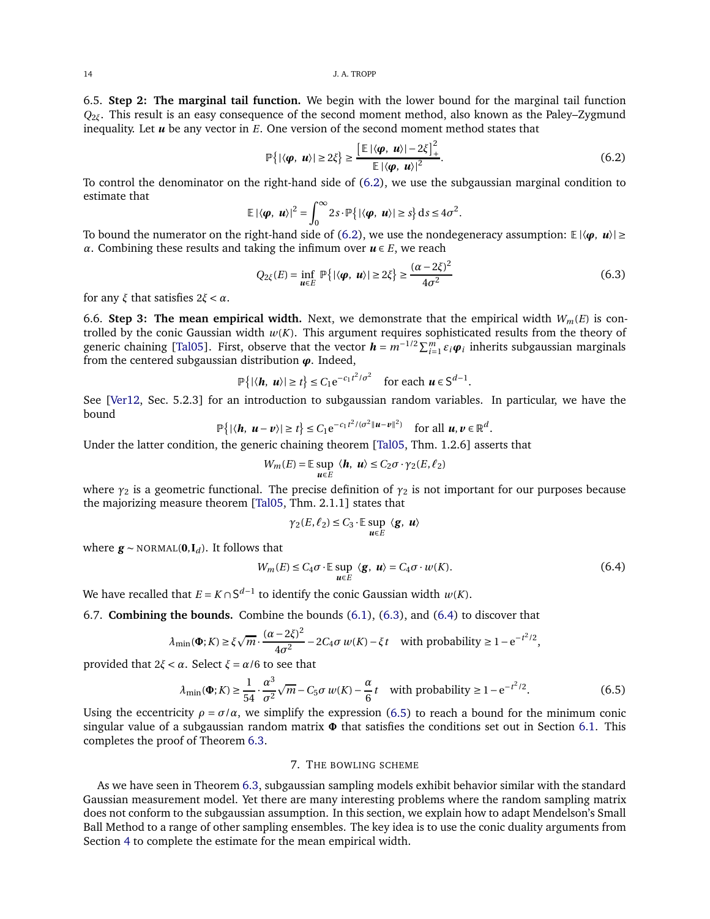14 J.A. TROPP

6.5. **Step 2: The marginal tail function.** We begin with the lower bound for the marginal tail function *Q*2*ξ*. This result is an easy consequence of the second moment method, also known as the Paley–Zygmund inequality. Let *u* be any vector in *E*. One version of the second moment method states that

<span id="page-13-1"></span>
$$
\mathbb{P}\left\{|\langle \boldsymbol{\varphi}, \boldsymbol{u}\rangle| \ge 2\zeta\right\} \ge \frac{\left[\mathbb{E}|\langle \boldsymbol{\varphi}, \boldsymbol{u}\rangle| - 2\zeta\right]_{+}^{2}}{\mathbb{E}|\langle \boldsymbol{\varphi}, \boldsymbol{u}\rangle|^{2}}.
$$
\n(6.2)

To control the denominator on the right-hand side of [\(6.2\)](#page-13-1), we use the subgaussian marginal condition to estimate that

$$
\mathbb{E} |\langle \boldsymbol{\varphi}, \boldsymbol{u} \rangle|^2 = \int_0^\infty 2s \cdot \mathbb{P} \{ |\langle \boldsymbol{\varphi}, \boldsymbol{u} \rangle| \geq s \} \, \mathrm{d} s \leq 4\sigma^2.
$$

To bound the numerator on the right-hand side of [\(6.2\)](#page-13-1), we use the nondegeneracy assumption:  $\mathbb{E} |\langle \varphi, u \rangle| \geq$ *α*. Combining these results and taking the infimum over  $u \in E$ , we reach

<span id="page-13-2"></span>
$$
Q_{2\xi}(E) = \inf_{\mathbf{u} \in E} \mathbb{P}\left\{ |\langle \boldsymbol{\varphi}, \, \boldsymbol{u} \rangle| \ge 2\xi \right\} \ge \frac{(\alpha - 2\xi)^2}{4\sigma^2}
$$
\n(6.3)

for any *ξ* that satisfies 2*ξ* < *α*.

6.6. **Step 3: The mean empirical width.** Next, we demonstrate that the empirical width  $W_m(E)$  is controlled by the conic Gaussian width  $w(K)$ . This argument requires sophisticated results from the theory of generic chaining [\[Tal05\]](#page-19-15). First, observe that the vector  $h = m^{-1/2} \sum_{i=1}^{m} \varepsilon_i \varphi_i$  inherits subgaussian marginals from the centered subgaussian distribution *ϕ*. Indeed,

$$
\mathbb{P}\big\{|\langle \boldsymbol{h}, \boldsymbol{u}\rangle| \geq t\big\} \leq C_1 e^{-c_1 t^2/\sigma^2} \quad \text{for each } \boldsymbol{u} \in \mathbb{S}^{d-1}.
$$

See [\[Ver12,](#page-19-16) Sec. 5.2.3] for an introduction to subgaussian random variables. In particular, we have the bound

$$
\mathbb{P}\big\{|\langle \boldsymbol{h}, \boldsymbol{u}-\boldsymbol{v}\rangle| \geq t\big\} \leq C_1 e^{-c_1 t^2/(\sigma^2 \|\boldsymbol{u}-\boldsymbol{v}\|^2)} \quad \text{for all } \boldsymbol{u}, \boldsymbol{v} \in \mathbb{R}^d
$$

Under the latter condition, the generic chaining theorem [\[Tal05,](#page-19-15) Thm. 1.2.6] asserts that

$$
W_m(E) = \mathbb{E} \sup_{\mathbf{u} \in E} \langle \mathbf{h}, \mathbf{u} \rangle \le C_2 \sigma \cdot \gamma_2(E, \ell_2)
$$

where  $\gamma_2$  is a geometric functional. The precise definition of  $\gamma_2$  is not important for our purposes because the majorizing measure theorem [\[Tal05,](#page-19-15) Thm. 2.1.1] states that

$$
\gamma_2(E,\ell_2) \le C_3 \cdot \mathbb{E} \sup_{\mathbf{u} \in E} \langle \mathbf{g}, \mathbf{u} \rangle
$$

where  $\mathbf{g}$  ∼ NORMAL(**0**,**I**<sub>*d*</sub>). It follows that

<span id="page-13-3"></span>
$$
W_m(E) \le C_4 \sigma \cdot \mathbb{E} \sup_{\mathbf{u} \in E} \langle \mathbf{g}, \mathbf{u} \rangle = C_4 \sigma \cdot w(K). \tag{6.4}
$$

.

We have recalled that  $E = K \cap S^{d-1}$  to identify the conic Gaussian width  $w(K)$ .

6.7. **Combining the bounds.** Combine the bounds [\(6.1\)](#page-12-3), [\(6.3\)](#page-13-2), and [\(6.4\)](#page-13-3) to discover that

$$
\lambda_{\min}(\Phi; K) \ge \xi \sqrt{m} \cdot \frac{(\alpha - 2\xi)^2}{4\sigma^2} - 2C_4 \sigma w(K) - \xi t \quad \text{with probability} \ge 1 - e^{-t^2/2},
$$

provided that 2*ξ* < *α*. Select *ξ* = *α*/6 to see that

<span id="page-13-4"></span>
$$
\lambda_{\min}(\Phi; K) \ge \frac{1}{54} \cdot \frac{\alpha^3}{\sigma^2} \sqrt{m} - C_5 \sigma w(K) - \frac{\alpha}{6} t \quad \text{with probability} \ge 1 - e^{-t^2/2}.
$$
 (6.5)

Using the eccentricity  $\rho = \sigma/\alpha$ , we simplify the expression [\(6.5\)](#page-13-4) to reach a bound for the minimum conic singular value of a subgaussian random matrix **Φ** that satisfies the conditions set out in Section [6.1.](#page-11-2) This completes the proof of Theorem [6.3.](#page-12-1)

# 7. THE BOWLING SCHEME

<span id="page-13-0"></span>As we have seen in Theorem [6.3,](#page-12-1) subgaussian sampling models exhibit behavior similar with the standard Gaussian measurement model. Yet there are many interesting problems where the random sampling matrix does not conform to the subgaussian assumption. In this section, we explain how to adapt Mendelson's Small Ball Method to a range of other sampling ensembles. The key idea is to use the conic duality arguments from Section [4](#page-5-0) to complete the estimate for the mean empirical width.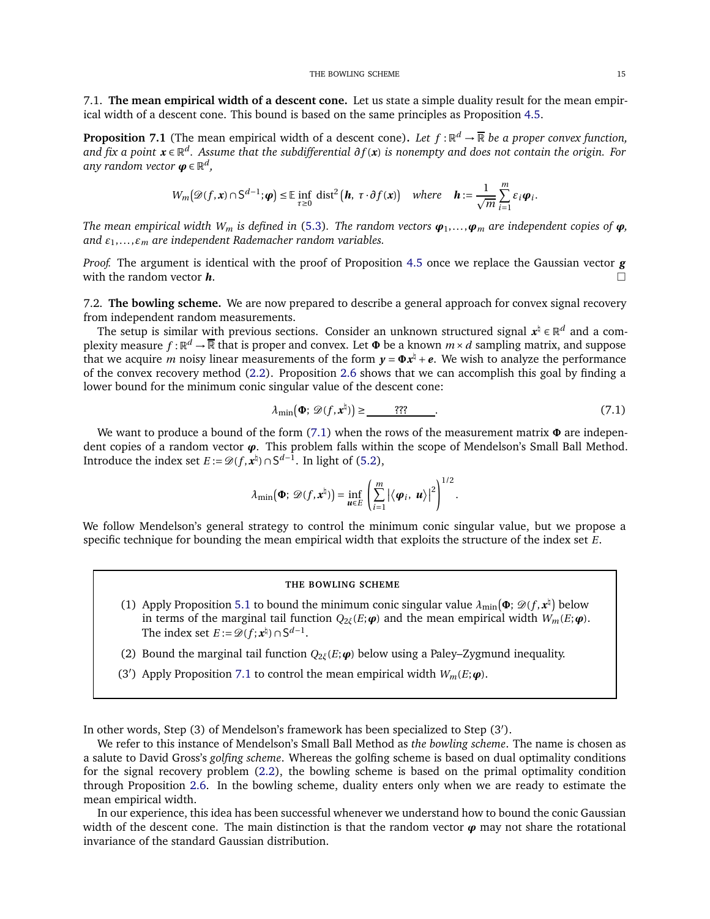7.1. **The mean empirical width of a descent cone.** Let us state a simple duality result for the mean empirical width of a descent cone. This bound is based on the same principles as Proposition [4.5.](#page-6-1)

<span id="page-14-1"></span>**Proposition 7.1** (The mean empirical width of a descent cone). Let  $f : \mathbb{R}^d \to \overline{\mathbb{R}}$  be a proper convex function, *and fix a point <sup>x</sup>* <sup>∈</sup> <sup>R</sup> *d . Assume that the subdifferential ∂f* (*x*) *is nonempty and does not contain the origin. For any random vector <sup>ϕ</sup>* <sup>∈</sup> <sup>R</sup> *d ,*

$$
W_m(\mathscr{D}(f,\mathbf{x})\cap S^{d-1};\boldsymbol{\varphi})\leq \mathbb{E}\inf_{\tau\geq 0} \mathrm{dist}^2\big(\boldsymbol{h},\ \tau\cdot \partial f(\mathbf{x})\big) \quad \text{where}\quad \boldsymbol{h}:=\frac{1}{\sqrt{m}}\sum_{i=1}^m \varepsilon_i \boldsymbol{\varphi}_i.
$$

*The mean empirical width*  $W_m$  *is defined in* [\(5.3\)](#page-9-3). *The random vectors*  $\varphi_1, \ldots, \varphi_m$  *are independent copies of*  $\varphi$ *, and ε*1,... ,*ε<sup>m</sup> are independent Rademacher random variables.*

*Proof.* The argument is identical with the proof of Proposition [4.5](#page-6-1) once we replace the Gaussian vector *g* with the random vector *h*.

7.2. **The bowling scheme.** We are now prepared to describe a general approach for convex signal recovery from independent random measurements.

The setup is similar with previous sections. Consider an unknown structured signal  $x^{\natural} \in \mathbb{R}^d$  and a complexity measure  $f : \mathbb{R}^d \to \overline{\mathbb{R}}$  that is proper and convex. Let  $\Phi$  be a known  $m \times d$  sampling matrix, and suppose that we acquire *m* noisy linear measurements of the form  $y = \Phi x^{\frac{1}{2}} + e$ . We wish to analyze the performance of the convex recovery method [\(2.2\)](#page-1-2). Proposition [2.6](#page-3-2) shows that we can accomplish this goal by finding a lower bound for the minimum conic singular value of the descent cone:

<span id="page-14-0"></span>
$$
\lambda_{\min}(\mathbf{\Phi}; \mathscr{D}(f, \mathbf{x}^{\natural})) \geq \underline{\hspace{1cm} \text{???}} \tag{7.1}
$$

We want to produce a bound of the form [\(7.1\)](#page-14-0) when the rows of the measurement matrix **Φ** are independent copies of a random vector *ϕ*. This problem falls within the scope of Mendelson's Small Ball Method. Introduce the index set *E* :=  $\mathcal{D}(f, \mathbf{x}^{\natural}) \cap S^{d-1}$ . In light of [\(5.2\)](#page-9-0),

$$
\lambda_{\min}(\mathbf{\Phi}; \mathscr{D}(f, \mathbf{x}^{\natural})) = \inf_{\mathbf{u} \in E} \left( \sum_{i=1}^{m} \left| \langle \mathbf{\boldsymbol{\varphi}}_i, \mathbf{u} \rangle \right|^2 \right)^{1/2}.
$$

We follow Mendelson's general strategy to control the minimum conic singular value, but we propose a specific technique for bounding the mean empirical width that exploits the structure of the index set *E*.

### **THE BOWLING SCHEME**

- (1) Apply Proposition [5.1](#page-9-2) to bound the minimum conic singular value  $\lambda_{\min}(\Phi; \mathcal{D}(f, \mathbf{x}^{\natural})$  below in terms of the marginal tail function  $Q_{2\zeta}(E;\boldsymbol{\varphi})$  and the mean empirical width  $W_m(E;\boldsymbol{\varphi})$ . The index set  $E := \mathcal{D}(f; \mathbf{x}^{\natural}) \cap \mathsf{S}^{d-1}$ .
- (2) Bound the marginal tail function *Q*2*ξ*(*E*;*ϕ*) below using a Paley–Zygmund inequality.
- (3<sup>'</sup>) Apply Proposition [7.1](#page-14-1) to control the mean empirical width  $W_m(E; \boldsymbol{\varphi})$ .

In other words, Step (3) of Mendelson's framework has been specialized to Step (3′ ).

We refer to this instance of Mendelson's Small Ball Method as *the bowling scheme*. The name is chosen as a salute to David Gross's *golfing scheme*. Whereas the golfing scheme is based on dual optimality conditions for the signal recovery problem [\(2.2\)](#page-1-2), the bowling scheme is based on the primal optimality condition through Proposition [2.6.](#page-3-2) In the bowling scheme, duality enters only when we are ready to estimate the mean empirical width.

In our experience, this idea has been successful whenever we understand how to bound the conic Gaussian width of the descent cone. The main distinction is that the random vector  $\varphi$  may not share the rotational invariance of the standard Gaussian distribution.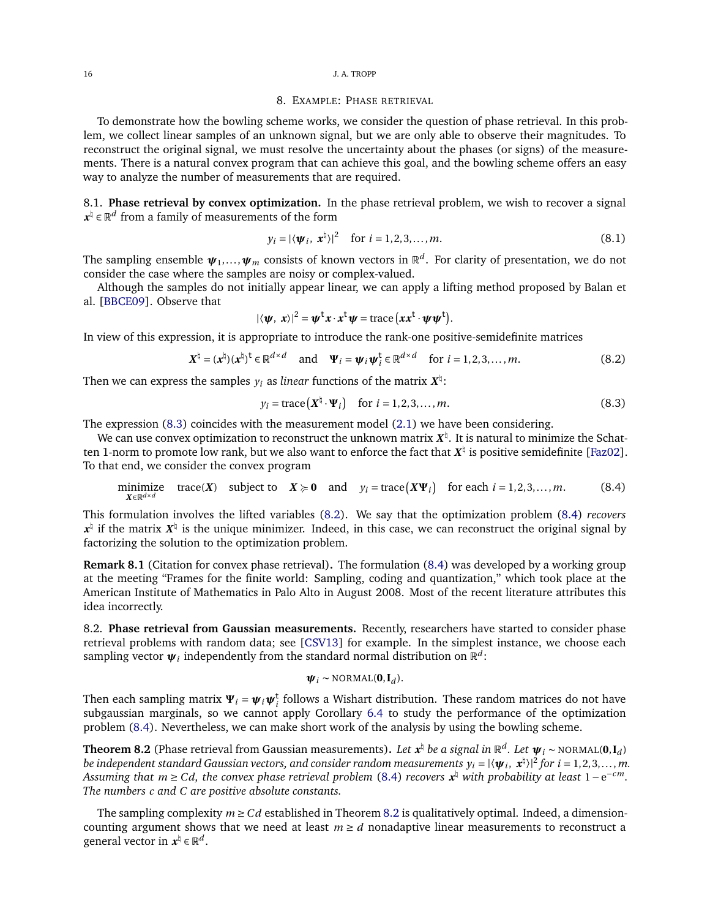#### <span id="page-15-0"></span>16 J. A. TROPP

## 8. EXAMPLE: PHASE RETRIEVAL

To demonstrate how the bowling scheme works, we consider the question of phase retrieval. In this problem, we collect linear samples of an unknown signal, but we are only able to observe their magnitudes. To reconstruct the original signal, we must resolve the uncertainty about the phases (or signs) of the measurements. There is a natural convex program that can achieve this goal, and the bowling scheme offers an easy way to analyze the number of measurements that are required.

8.1. **Phase retrieval by convex optimization.** In the phase retrieval problem, we wish to recover a signal  $x^{\natural}$  ∈  $\mathbb{R}^{d}$  from a family of measurements of the form

$$
y_i = |\langle \boldsymbol{\psi}_i, \boldsymbol{x}^{\natural} \rangle|^2 \quad \text{for } i = 1, 2, 3, \dots, m. \tag{8.1}
$$

The sampling ensemble *ψ*1,... ,*ψ<sup>m</sup>* consists of known vectors in R *d* . For clarity of presentation, we do not consider the case where the samples are noisy or complex-valued.

Although the samples do not initially appear linear, we can apply a lifting method proposed by Balan et al. [\[BBCE09\]](#page-18-16). Observe that

$$
|\langle \psi, x \rangle|^2 = \psi^{\dagger} x \cdot x^{\dagger} \psi = \operatorname{trace} (xx^{\dagger} \cdot \psi \psi^{\dagger}).
$$

In view of this expression, it is appropriate to introduce the rank-one positive-semidefinite matrices

<span id="page-15-2"></span>
$$
\mathbf{X}^{\natural} = (\mathbf{x}^{\natural})(\mathbf{x}^{\natural})^{\mathsf{t}} \in \mathbb{R}^{d \times d} \quad \text{and} \quad \Psi_i = \psi_i \psi_i^{\mathsf{t}} \in \mathbb{R}^{d \times d} \quad \text{for } i = 1, 2, 3, ..., m. \tag{8.2}
$$

Then we can express the samples  $y_i$  as *linear f*unctions of the matrix  $\boldsymbol{X}^\natural \colon$ 

<span id="page-15-1"></span>
$$
y_i = \text{trace}\left(\mathbf{X}^{\dagger} \cdot \mathbf{\Psi}_i\right) \quad \text{for } i = 1, 2, 3, \dots, m. \tag{8.3}
$$

The expression [\(8.3\)](#page-15-1) coincides with the measurement model [\(2.1\)](#page-1-1) we have been considering.

We can use convex optimization to reconstruct the unknown matrix  $X^\natural$ . It is natural to minimize the Schatten 1-norm to promote low rank, but we also want to enforce the fact that  $X^\natural$  is positive semidefinite [\[Faz02\]](#page-18-17). To that end, we consider the convex program

<span id="page-15-3"></span>minimize trace(X) subject to 
$$
X \ge 0
$$
 and  $y_i = \text{trace}(X\Psi_i)$  for each  $i = 1, 2, 3, ..., m$ . (8.4)

This formulation involves the lifted variables [\(8.2\)](#page-15-2). We say that the optimization problem [\(8.4\)](#page-15-3) *recovers*  $x^{\natural}$  if the matrix  $X^{\natural}$  is the unique minimizer. Indeed, in this case, we can reconstruct the original signal by factorizing the solution to the optimization problem.

**Remark 8.1** (Citation for convex phase retrieval)**.** The formulation [\(8.4\)](#page-15-3) was developed by a working group at the meeting "Frames for the finite world: Sampling, coding and quantization," which took place at the American Institute of Mathematics in Palo Alto in August 2008. Most of the recent literature attributes this idea incorrectly.

8.2. **Phase retrieval from Gaussian measurements.** Recently, researchers have started to consider phase retrieval problems with random data; see [\[CSV13\]](#page-18-18) for example. In the simplest instance, we choose each sampling vector  $\pmb{\psi}_i$  independently from the standard normal distribution on  $\mathbb{R}^d$ :

$$
\boldsymbol{\psi}_i \sim \text{NORMAL}(\mathbf{0}, \mathbf{I}_d).
$$

Then each sampling matrix  $\Psi_i = \psi_i \psi_i^t$  follows a Wishart distribution. These random matrices do not have subgaussian marginals, so we cannot apply Corollary [6.4](#page-12-0) to study the performance of the optimization problem [\(8.4\)](#page-15-3). Nevertheless, we can make short work of the analysis by using the bowling scheme.

<span id="page-15-4"></span>**Theorem 8.2** (Phase retrieval from Gaussian measurements). Let  $x^{\natural}$  be a signal in  $\mathbb{R}^d$ . Let  $\psi_i \sim \text{NORMAL}(0, I_d)$ be independent standard Gaussian vectors, and consider random measurements  $y_i = |\langle \bm{\psi}_i, \bm{x}^\natural \rangle|^2$  for  $i = 1, 2, 3, ..., m$ . *Assuming that m* ≥ *Cd, the convex phase retrieval problem* [\(8.4\)](#page-15-3) *recovers x* ♮ *with probability at least* <sup>1</sup><sup>−</sup> <sup>e</sup> <sup>−</sup>*cm. The numbers c and C are positive absolute constants.*

The sampling complexity  $m \geq Cd$  established in Theorem [8.2](#page-15-4) is qualitatively optimal. Indeed, a dimensioncounting argument shows that we need at least  $m \ge d$  nonadaptive linear measurements to reconstruct a general vector in  $\mathbf{x}^{\natural} \in \mathbb{R}^{d}$ .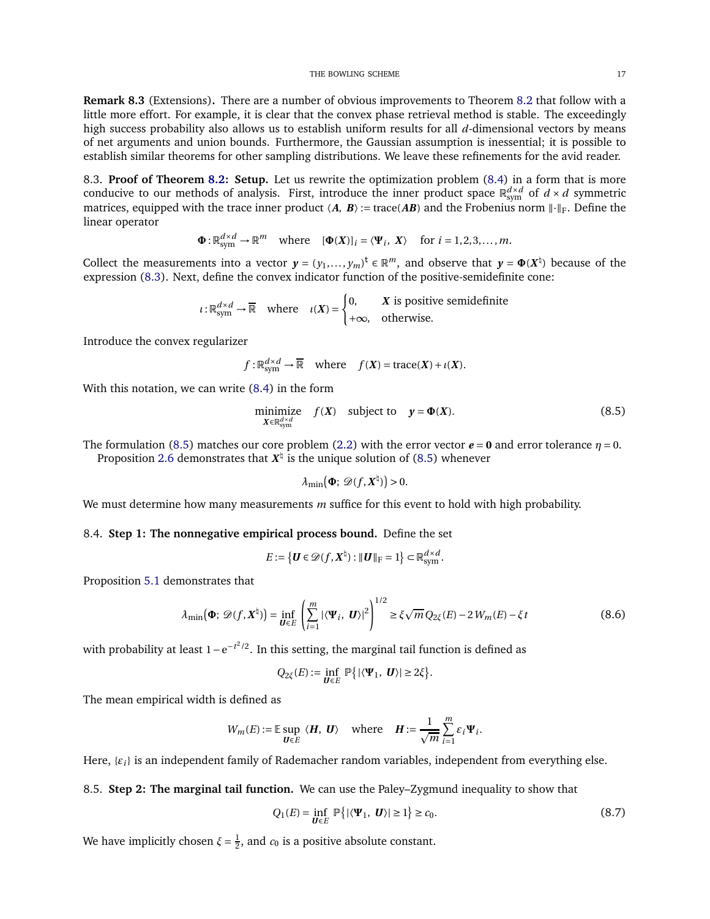**Remark 8.3** (Extensions)**.** There are a number of obvious improvements to Theorem [8.2](#page-15-4) that follow with a little more effort. For example, it is clear that the convex phase retrieval method is stable. The exceedingly high success probability also allows us to establish uniform results for all *d*-dimensional vectors by means of net arguments and union bounds. Furthermore, the Gaussian assumption is inessential; it is possible to establish similar theorems for other sampling distributions. We leave these refinements for the avid reader.

8.3. **Proof of Theorem [8.2:](#page-15-4) Setup.** Let us rewrite the optimization problem [\(8.4\)](#page-15-3) in a form that is more conducive to our methods of analysis. First, introduce the inner product space  $\mathbb{R}^{d\times d}_{\text{sym}}$  of  $d\times d$  symmetric matrices, equipped with the trace inner product  $\langle A, B \rangle$ := trace(*AB*) and the Frobenius norm  $\|\cdot\|_F$ . Define the linear operator

$$
\Phi: \mathbb{R}^{d \times d}_{sym} \to \mathbb{R}^m \quad \text{where} \quad [\Phi(X)]_i = \langle \Psi_i, X \rangle \quad \text{for } i = 1, 2, 3, \dots, m.
$$

Collect the measurements into a vector  $y = (y_1, \ldots, y_m)^t \in \mathbb{R}^m$ , and observe that  $y = \Phi(X^{\dagger})$  because of the expression [\(8.3\)](#page-15-1). Next, define the convex indicator function of the positive-semidefinite cone:

$$
\iota: \mathbb{R}^{d \times d}_{sym} \to \overline{\mathbb{R}} \quad \text{where} \quad \iota(X) = \begin{cases} 0, & X \text{ is positive semidefinite} \\ +\infty, & \text{otherwise.} \end{cases}
$$

Introduce the convex regularizer

$$
f: \mathbb{R}^{d \times d}_{sym} \to \overline{\mathbb{R}}
$$
 where  $f(X) = \text{trace}(X) + \iota(X)$ .

With this notation, we can write [\(8.4\)](#page-15-3) in the form

<span id="page-16-0"></span>minimize 
$$
f(X)
$$
 subject to  $y = \Phi(X)$ . (8.5)

The formulation [\(8.5\)](#page-16-0) matches our core problem [\(2.2\)](#page-1-2) with the error vector  $e = 0$  and error tolerance  $\eta = 0$ .

Proposition [2.6](#page-3-2) demonstrates that  $X^{\natural}$  is the unique solution of [\(8.5\)](#page-16-0) whenever

$$
\lambda_{\min}(\Phi; \mathcal{D}(f, \mathbf{X}^{\natural})) > 0.
$$

We must determine how many measurements *m* suffice for this event to hold with high probability.

# 8.4. **Step 1: The nonnegative empirical process bound.** Define the set

$$
E:=\left\{ \boldsymbol{U}\in \mathscr{D}(f,\boldsymbol{X}^{\natural}): \|\boldsymbol{U}\|_{\mathrm{F}}=1\right\} \subset \mathbb{R}^{d\times d}_{\mathrm{sym}}.
$$

Proposition [5.1](#page-9-2) demonstrates that

<span id="page-16-2"></span>
$$
\lambda_{\min}(\mathbf{\Phi}; \mathscr{D}(f, \mathbf{X}^{\natural})) = \inf_{\mathbf{U} \in E} \left( \sum_{i=1}^{m} |\langle \mathbf{\Psi}_i, \mathbf{U} \rangle|^2 \right)^{1/2} \ge \xi \sqrt{m} Q_{2\xi}(E) - 2W_m(E) - \xi t \tag{8.6}
$$

with probability at least 1 –  $e^{-t^2/2}$ . In this setting, the marginal tail function is defined as

$$
Q_{2\xi}(E):=\inf_{\boldsymbol{U}\in E}\,\mathbb{P}\big\{|\langle \boldsymbol{\Psi}_1,\ \boldsymbol{U}\rangle|\geq 2\xi\big\}.
$$

The mean empirical width is defined as

$$
W_m(E) := \mathbb{E} \sup_{\mathbf{U} \in E} \langle \mathbf{H}, \mathbf{U} \rangle \quad \text{where} \quad \mathbf{H} := \frac{1}{\sqrt{m}} \sum_{i=1}^m \varepsilon_i \Psi_i.
$$

Here, {*ε<sup>i</sup>* } is an independent family of Rademacher random variables, independent from everything else.

8.5. **Step 2: The marginal tail function.** We can use the Paley–Zygmund inequality to show that

<span id="page-16-1"></span>
$$
Q_1(E) = \inf_{\mathbf{U} \in E} \mathbb{P}\left\{ |\langle \mathbf{\Psi}_1, \mathbf{U} \rangle| \ge 1 \right\} \ge c_0.
$$
 (8.7)

We have implicitly chosen  $\xi = \frac{1}{2}$ , and  $c_0$  is a positive absolute constant.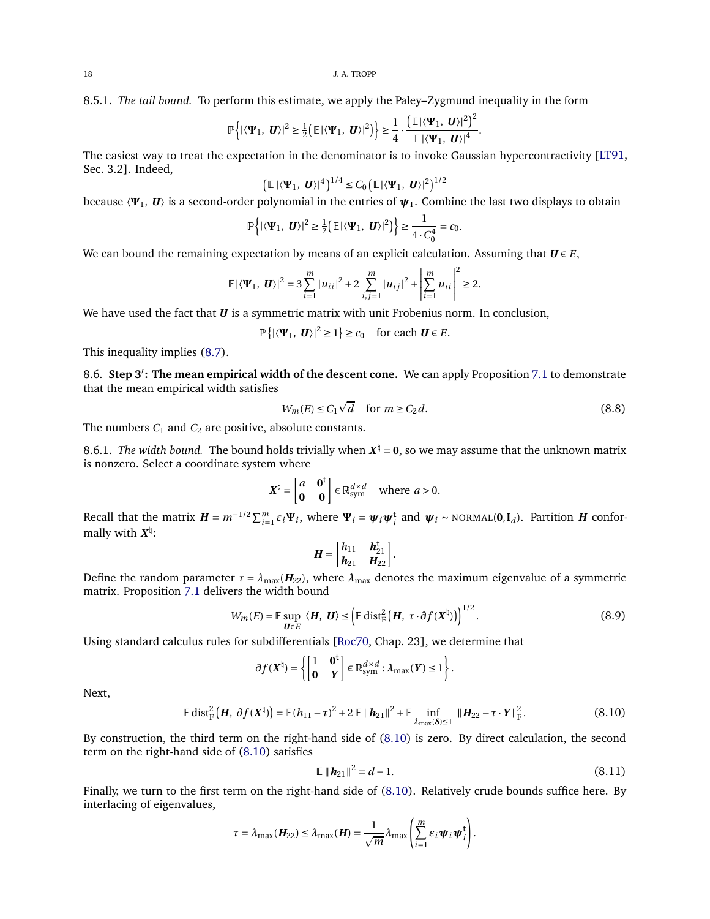8.5.1. *The tail bound.* To perform this estimate, we apply the Paley–Zygmund inequality in the form

$$
\mathbb{P}\left\{|\langle \Psi_1,\,\, \boldsymbol{U}\rangle|^2\geq \frac{1}{2}\left(\mathbb{E}|\langle \Psi_1,\,\, \boldsymbol{U}\rangle|^2\right)\right\}\geq \frac{1}{4}\cdot\frac{\left(\mathbb{E}|\langle \Psi_1,\,\, \boldsymbol{U}\rangle|^2\right)^2}{\mathbb{E}|\langle \Psi_1,\,\, \boldsymbol{U}\rangle|^4}
$$

The easiest way to treat the expectation in the denominator is to invoke Gaussian hypercontractivity [\[LT91,](#page-18-10) Sec. 3.2]. Indeed,

$$
\left(\mathbb{E}|\langle \Psi_1, \mathbf{U}\rangle|^4\right)^{1/4} \leq C_0 \left(\mathbb{E}|\langle \Psi_1, \mathbf{U}\rangle|^2\right)^{1/2}
$$

because 〈**Ψ**1, *<sup>U</sup>*〉 is a second-order polynomial in the entries of *<sup>ψ</sup>*1. Combine the last two displays to obtain

$$
\mathbb{P}\left\{|\langle \Psi_1,\mathbf{U}\rangle|^2\geq \frac{1}{2}\big(\mathbb{E}|\langle \Psi_1,\mathbf{U}\rangle|^2\big)\right\}\geq \frac{1}{4\cdot C_0^4}=c_0.
$$

We can bound the remaining expectation by means of an explicit calculation. Assuming that  $U \in E$ ,

$$
\mathbb{E}|\langle \mathbf{\Psi}_1,\;\pmb{U}\rangle|^2=3\sum_{i=1}^m|u_{ii}|^2+2\sum_{i,j=1}^m|u_{ij}|^2+\left|\sum_{i=1}^mu_{ii}\right|^2\geq 2.
$$

We have used the fact that *U* is a symmetric matrix with unit Frobenius norm. In conclusion,

$$
\mathbb{P}\left\{|\langle \Psi_1, \mathbf{U}\rangle|^2 \ge 1\right\} \ge c_0 \quad \text{for each } \mathbf{U} \in E.
$$

This inequality implies [\(8.7\)](#page-16-1).

8.6. **Step 3**′ **: The mean empirical width of the descent cone.** We can apply Proposition [7.1](#page-14-1) to demonstrate that the mean empirical width satisfies

<span id="page-17-3"></span>
$$
W_m(E) \le C_1 \sqrt{d} \quad \text{for } m \ge C_2 d. \tag{8.8}
$$

.

The numbers  $C_1$  and  $C_2$  are positive, absolute constants.

8.6.1. *The width bound.* The bound holds trivially when  $X^{\nmid} = 0$ , so we may assume that the unknown matrix is nonzero. Select a coordinate system where

$$
\mathbf{X}^{\natural} = \begin{bmatrix} a & \mathbf{0}^{\mathsf{t}} \\ \mathbf{0} & \mathbf{0} \end{bmatrix} \in \mathbb{R}_{\text{sym}}^{d \times d} \text{ where } a > 0.
$$

Recall that the matrix  $H = m^{-1/2} \sum_{i=1}^{m} \varepsilon_i \Psi_i$ , where  $\Psi_i = \psi_i \psi_i^{\dagger}$  and  $\psi_i \sim \text{NORMAL}(0, I_d)$ . Partition H conformally with *X* ♮ :

$$
\boldsymbol{H} = \begin{bmatrix} h_{11} & \boldsymbol{h}_{21}^{\mathsf{t}} \\ \boldsymbol{h}_{21} & \boldsymbol{H}_{22} \end{bmatrix}.
$$

Define the random parameter  $\tau = \lambda_{\text{max}}(H_{22})$ , where  $\lambda_{\text{max}}$  denotes the maximum eigenvalue of a symmetric matrix. Proposition [7.1](#page-14-1) delivers the width bound

<span id="page-17-2"></span>
$$
W_m(E) = \mathbb{E} \sup_{\mathbf{U} \in E} \langle \mathbf{H}, \mathbf{U} \rangle \le \left( \mathbb{E} \operatorname{dist}_{\mathbf{F}}^2 \left( \mathbf{H}, \ \tau \cdot \partial f(\mathbf{X}^{\dagger}) \right) \right)^{1/2} . \tag{8.9}
$$

Using standard calculus rules for subdifferentials [\[Roc70,](#page-19-8) Chap. 23], we determine that

$$
\partial f(X^\natural)=\left\{\begin{bmatrix} 1 & \mathbf{0}^\mathbf{t} \\ \mathbf{0} & Y \end{bmatrix}\in\mathbb{R}^{d\times d}_{\mathrm{sym}}: \lambda_{\max}(Y)\leq 1\right\}.
$$

Next,

$$
\mathbb{E} \operatorname{dist}_{\mathcal{F}}^2 \left( H, \partial f(X^{\natural}) \right) = \mathbb{E} (h_{11} - \tau)^2 + 2 \mathbb{E} \| h_{21} \|^2 + \mathbb{E} \inf_{\lambda_{\max}(S) \le 1} \| H_{22} - \tau \cdot Y \|_{\mathcal{F}}^2.
$$
 (8.10)

By construction, the third term on the right-hand side of [\(8.10\)](#page-17-0) is zero. By direct calculation, the second term on the right-hand side of [\(8.10\)](#page-17-0) satisfies

<span id="page-17-1"></span>
$$
\mathbb{E} \|\mathbf{h}_{21}\|^2 = d - 1. \tag{8.11}
$$

<span id="page-17-0"></span> $\overline{1}$ 

Finally, we turn to the first term on the right-hand side of [\(8.10\)](#page-17-0). Relatively crude bounds suffice here. By interlacing of eigenvalues,

$$
\tau = \lambda_{\max}(\boldsymbol{H}_{22}) \leq \lambda_{\max}(\boldsymbol{H}) = \frac{1}{\sqrt{m}} \lambda_{\max} \left( \sum_{i=1}^{m} \varepsilon_i \boldsymbol{\psi}_i \boldsymbol{\psi}_i^{\mathsf{T}} \right).
$$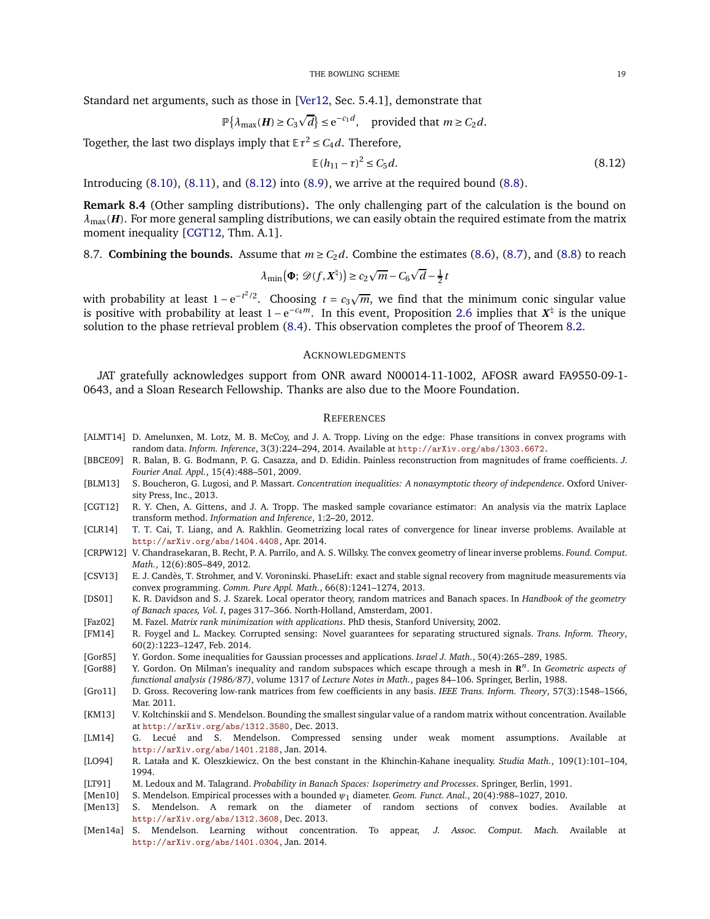Standard net arguments, such as those in [\[Ver12,](#page-19-16) Sec. 5.4.1], demonstrate that

$$
\mathbb{P}\{\lambda_{\max}(\boldsymbol{H}) \geq C_3 \sqrt{d}\} \leq e^{-c_1 d}, \quad \text{provided that } m \geq C_2 d.
$$

Together, the last two displays imply that  $\mathbb{E} \tau^2 \leq C_4 d$ . Therefore,

<span id="page-18-19"></span>
$$
\mathbb{E}(h_{11} - \tau)^2 \le C_5 d. \tag{8.12}
$$

Introducing  $(8.10)$ ,  $(8.11)$ , and  $(8.12)$  into  $(8.9)$ , we arrive at the required bound  $(8.8)$ .

**Remark 8.4** (Other sampling distributions)**.** The only challenging part of the calculation is the bound on  $\lambda_{\text{max}}(H)$ . For more general sampling distributions, we can easily obtain the required estimate from the matrix moment inequality [\[CGT12,](#page-18-20) Thm. A.1].

# 8.7. **Combining the bounds.** Assume that  $m \ge C_2 d$ . Combine the estimates [\(8.6\)](#page-16-2), [\(8.7\)](#page-16-1), and [\(8.8\)](#page-17-3) to reach

$$
\lambda_{\min}(\Phi; \mathcal{D}(f, \mathbf{X}^{\natural}) \ge c_2 \sqrt{m} - C_6 \sqrt{d} - \frac{1}{2} t
$$

with probability at least  $1 - e^{-t^2/2}$ . Choosing  $t = c_3 \sqrt{m}$ , we find that the minimum conic singular value is positive with probability at least  $1 - e^{-c_4 m}$ . In this event, Proposition [2.6](#page-3-2) implies that  $X^{\natural}$  is the unique solution to the phase retrieval problem [\(8.4\)](#page-15-3). This observation completes the proof of Theorem [8.2.](#page-15-4)

### ACKNOWLEDGMENTS

JAT gratefully acknowledges support from ONR award N00014-11-1002, AFOSR award FA9550-09-1- 0643, and a Sloan Research Fellowship. Thanks are also due to the Moore Foundation.

### **REFERENCES**

- <span id="page-18-1"></span>[ALMT14] D. Amelunxen, M. Lotz, M. B. McCoy, and J. A. Tropp. Living on the edge: Phase transitions in convex programs with random data. *Inform. Inference*, 3(3):224–294, 2014. Available at <http://arXiv.org/abs/1303.6672>.
- <span id="page-18-16"></span>[BBCE09] R. Balan, B. G. Bodmann, P. G. Casazza, and D. Edidin. Painless reconstruction from magnitudes of frame coefficients. *J. Fourier Anal. Appl.*, 15(4):488–501, 2009.
- <span id="page-18-14"></span>[BLM13] S. Boucheron, G. Lugosi, and P. Massart. *Concentration inequalities: A nonasymptotic theory of independence*. Oxford University Press, Inc., 2013.
- <span id="page-18-20"></span>[CGT12] R. Y. Chen, A. Gittens, and J. A. Tropp. The masked sample covariance estimator: An analysis via the matrix Laplace transform method. *Information and Inference*, 1:2–20, 2012.
- <span id="page-18-9"></span>[CLR14] T. T. Cai, T. Liang, and A. Rakhlin. Geometrizing local rates of convergence for linear inverse problems. Available at <http://arXiv.org/abs/1404.4408>, Apr. 2014.
- <span id="page-18-0"></span>[CRPW12] V. Chandrasekaran, B. Recht, P. A. Parrilo, and A. S. Willsky. The convex geometry of linear inverse problems. *Found. Comput. Math.*, 12(6):805–849, 2012.
- <span id="page-18-18"></span>[CSV13] E. J. Candès, T. Strohmer, and V. Voroninski. PhaseLift: exact and stable signal recovery from magnitude measurements via convex programming. *Comm. Pure Appl. Math.*, 66(8):1241–1274, 2013.
- <span id="page-18-13"></span>[DS01] K. R. Davidson and S. J. Szarek. Local operator theory, random matrices and Banach spaces. In *Handbook of the geometry of Banach spaces, Vol. I*, pages 317–366. North-Holland, Amsterdam, 2001.
- <span id="page-18-17"></span>[Faz02] M. Fazel. *Matrix rank minimization with applications*. PhD thesis, Stanford University, 2002.
- <span id="page-18-2"></span>[FM14] R. Foygel and L. Mackey. Corrupted sensing: Novel guarantees for separating structured signals. *Trans. Inform. Theory*, 60(2):1223–1247, Feb. 2014.
- <span id="page-18-11"></span>[Gor85] Y. Gordon. Some inequalities for Gaussian processes and applications. *Israel J. Math.*, 50(4):265–289, 1985.
- <span id="page-18-12"></span>[Gor88] Y. Gordon. On Milman's inequality and random subspaces which escape through a mesh in **R** *<sup>n</sup>*. In *Geometric aspects of functional analysis (1986/87)*, volume 1317 of *Lecture Notes in Math.*, pages 84–106. Springer, Berlin, 1988.
- <span id="page-18-8"></span>[Gro11] D. Gross. Recovering low-rank matrices from few coefficients in any basis. *IEEE Trans. Inform. Theory*, 57(3):1548–1566, Mar. 2011.
- <span id="page-18-4"></span>[KM13] V. Koltchinskii and S. Mendelson. Bounding the smallest singular value of a random matrix without concentration. Available at <http://arXiv.org/abs/1312.3580>, Dec. 2013.
- <span id="page-18-7"></span>[LM14] G. Lecué and S. Mendelson. Compressed sensing under weak moment assumptions. Available at <http://arXiv.org/abs/1401.2188>, Jan. 2014.
- <span id="page-18-15"></span>[LO94] R. Latała and K. Oleszkiewicz. On the best constant in the Khinchin-Kahane inequality. *Studia Math.*, 109(1):101–104, 1994.
- <span id="page-18-10"></span>[LT91] M. Ledoux and M. Talagrand. *Probability in Banach Spaces: Isoperimetry and Processes*. Springer, Berlin, 1991.
- <span id="page-18-3"></span>[Men10] S. Mendelson. Empirical processes with a bounded *ψ*<sup>1</sup> diameter. *Geom. Funct. Anal.*, 20(4):988–1027, 2010.
- <span id="page-18-5"></span>[Men13] S. Mendelson. A remark on the diameter of random sections of convex bodies. Available at <http://arXiv.org/abs/1312.3608>, Dec. 2013.
- <span id="page-18-6"></span>[Men14a] S. Mendelson. Learning without concentration. To appear, J. Assoc. Comput. Mach. Available at <http://arXiv.org/abs/1401.0304>, Jan. 2014.